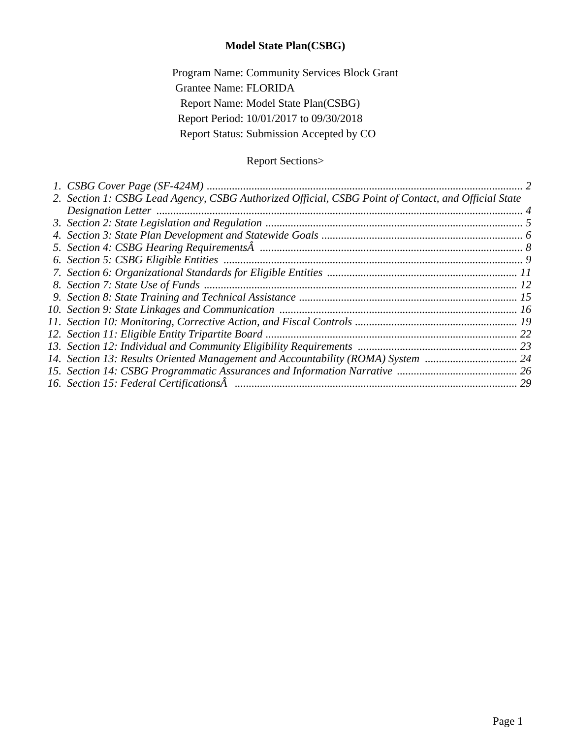### **Model State Plan(CSBG)**

Program Name: Community Services Block Grant Grantee Name: FLORIDA Report Name: Model State Plan(CSBG) Report Period: 10/01/2017 to 09/30/2018 Report Status: Submission Accepted by CO

## Report Sections>

| 2. Section 1: CSBG Lead Agency, CSBG Authorized Official, CSBG Point of Contact, and Official State |  |
|-----------------------------------------------------------------------------------------------------|--|
|                                                                                                     |  |
|                                                                                                     |  |
|                                                                                                     |  |
|                                                                                                     |  |
|                                                                                                     |  |
|                                                                                                     |  |
|                                                                                                     |  |
|                                                                                                     |  |
|                                                                                                     |  |
|                                                                                                     |  |
|                                                                                                     |  |
|                                                                                                     |  |
| 14. Section 13: Results Oriented Management and Accountability (ROMA) System  24                    |  |
|                                                                                                     |  |
|                                                                                                     |  |
|                                                                                                     |  |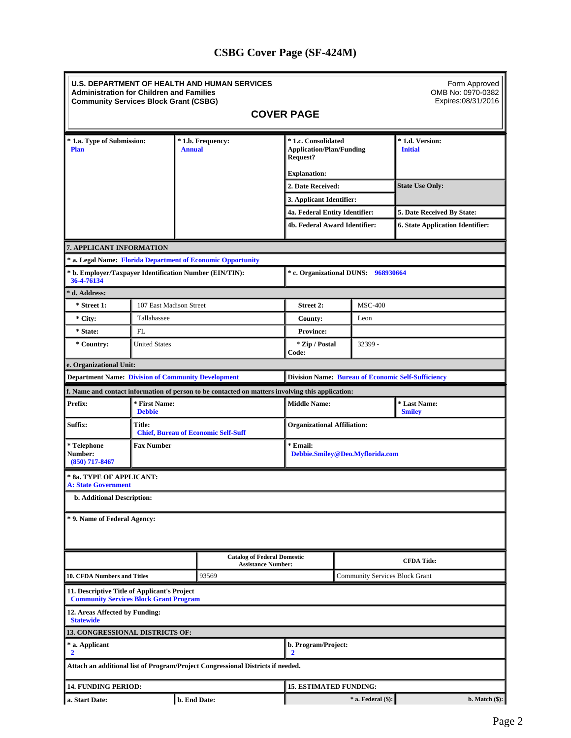## **CSBG Cover Page (SF-424M)**

<span id="page-1-0"></span>

|                                                                                               | <b>Administration for Children and Families</b><br><b>Community Services Block Grant (CSBG)</b> |  | <b>U.S. DEPARTMENT OF HEALTH AND HUMAN SERVICES</b>                                              |                                             |                                                           | Form Approved<br>OMB No: 0970-0382<br>Expires:08/31/2016 |
|-----------------------------------------------------------------------------------------------|-------------------------------------------------------------------------------------------------|--|--------------------------------------------------------------------------------------------------|---------------------------------------------|-----------------------------------------------------------|----------------------------------------------------------|
|                                                                                               |                                                                                                 |  |                                                                                                  | <b>COVER PAGE</b>                           |                                                           |                                                          |
| * 1.a. Type of Submission:<br><b>Annual</b><br><b>Plan</b>                                    |                                                                                                 |  | * 1.b. Frequency:<br>* 1.c. Consolidated<br><b>Application/Plan/Funding</b><br><b>Request?</b>   |                                             |                                                           | * 1.d. Version:<br><b>Initial</b>                        |
|                                                                                               |                                                                                                 |  |                                                                                                  | <b>Explanation:</b>                         |                                                           |                                                          |
|                                                                                               |                                                                                                 |  |                                                                                                  | 2. Date Received:                           |                                                           | <b>State Use Only:</b>                                   |
|                                                                                               |                                                                                                 |  |                                                                                                  | 3. Applicant Identifier:                    |                                                           |                                                          |
|                                                                                               |                                                                                                 |  |                                                                                                  | 4a. Federal Entity Identifier:              |                                                           | 5. Date Received By State:                               |
|                                                                                               |                                                                                                 |  |                                                                                                  | 4b. Federal Award Identifier:               |                                                           | <b>6. State Application Identifier:</b>                  |
| 7. APPLICANT INFORMATION                                                                      |                                                                                                 |  |                                                                                                  |                                             |                                                           |                                                          |
|                                                                                               |                                                                                                 |  | * a. Legal Name: Florida Department of Economic Opportunity                                      |                                             |                                                           |                                                          |
| * b. Employer/Taxpayer Identification Number (EIN/TIN):<br>36-4-76134                         |                                                                                                 |  |                                                                                                  |                                             | * c. Organizational DUNS: 968930664                       |                                                          |
| * d. Address:                                                                                 |                                                                                                 |  |                                                                                                  |                                             |                                                           |                                                          |
| * Street 1:<br>107 East Madison Street                                                        |                                                                                                 |  |                                                                                                  | <b>Street 2:</b>                            | <b>MSC-400</b>                                            |                                                          |
| * City:                                                                                       | Tallahassee                                                                                     |  |                                                                                                  | County:                                     | Leon                                                      |                                                          |
| * State:                                                                                      | <b>FL</b>                                                                                       |  |                                                                                                  | <b>Province:</b>                            |                                                           |                                                          |
| * Country:                                                                                    | <b>United States</b>                                                                            |  |                                                                                                  | * Zip / Postal<br>Code:                     | 32399 -                                                   |                                                          |
| e. Organizational Unit:                                                                       |                                                                                                 |  |                                                                                                  |                                             |                                                           |                                                          |
| <b>Department Name: Division of Community Development</b>                                     |                                                                                                 |  |                                                                                                  |                                             | <b>Division Name: Bureau of Economic Self-Sufficiency</b> |                                                          |
|                                                                                               |                                                                                                 |  | f. Name and contact information of person to be contacted on matters involving this application: |                                             |                                                           |                                                          |
| Prefix:                                                                                       | * First Name:<br><b>Debbie</b>                                                                  |  |                                                                                                  | <b>Middle Name:</b>                         |                                                           | * Last Name:<br><b>Smiley</b>                            |
| Suffix:                                                                                       | Title:<br><b>Organizational Affiliation:</b><br><b>Chief, Bureau of Economic Self-Suff</b>      |  |                                                                                                  |                                             |                                                           |                                                          |
| * Telephone<br>Number:<br>$(850)$ 717-8467                                                    | <b>Fax Number</b>                                                                               |  |                                                                                                  | * Email:<br>Debbie.Smiley@Deo.Myflorida.com |                                                           |                                                          |
| * 8a. TYPE OF APPLICANT:<br><b>A: State Government</b>                                        |                                                                                                 |  |                                                                                                  |                                             |                                                           |                                                          |
| b. Additional Description:                                                                    |                                                                                                 |  |                                                                                                  |                                             |                                                           |                                                          |
| * 9. Name of Federal Agency:                                                                  |                                                                                                 |  |                                                                                                  |                                             |                                                           |                                                          |
|                                                                                               |                                                                                                 |  | <b>Catalog of Federal Domestic</b><br><b>Assistance Number:</b>                                  |                                             |                                                           | <b>CFDA Title:</b>                                       |
| <b>10. CFDA Numbers and Titles</b>                                                            |                                                                                                 |  | 93569                                                                                            | <b>Community Services Block Grant</b>       |                                                           |                                                          |
| 11. Descriptive Title of Applicant's Project<br><b>Community Services Block Grant Program</b> |                                                                                                 |  |                                                                                                  |                                             |                                                           |                                                          |
| 12. Areas Affected by Funding:<br><b>Statewide</b>                                            |                                                                                                 |  |                                                                                                  |                                             |                                                           |                                                          |
| <b>13. CONGRESSIONAL DISTRICTS OF:</b>                                                        |                                                                                                 |  |                                                                                                  |                                             |                                                           |                                                          |
| * a. Applicant<br>$\overline{2}$                                                              |                                                                                                 |  |                                                                                                  | b. Program/Project:<br>2                    |                                                           |                                                          |
|                                                                                               |                                                                                                 |  | Attach an additional list of Program/Project Congressional Districts if needed.                  |                                             |                                                           |                                                          |
| <b>14. FUNDING PERIOD:</b>                                                                    |                                                                                                 |  |                                                                                                  | <b>15. ESTIMATED FUNDING:</b>               |                                                           |                                                          |
| a. Start Date:                                                                                |                                                                                                 |  | b. End Date:                                                                                     |                                             | * a. Federal (\$):                                        | $b. Match($ \$ $)$ :                                     |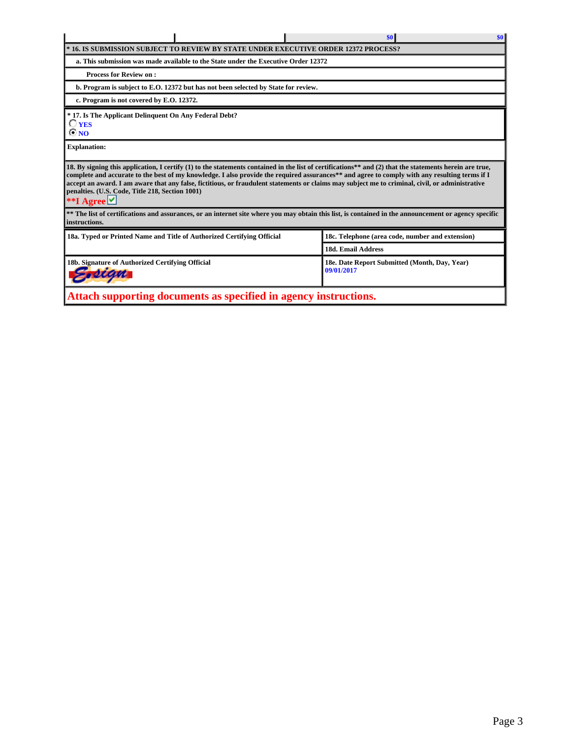|                                                                                                                                                                                                                                                                                                                                                                                                                                                                                                                                    |                                          | \$0<br>\$0                                                                          |  |  |  |  |  |  |  |
|------------------------------------------------------------------------------------------------------------------------------------------------------------------------------------------------------------------------------------------------------------------------------------------------------------------------------------------------------------------------------------------------------------------------------------------------------------------------------------------------------------------------------------|------------------------------------------|-------------------------------------------------------------------------------------|--|--|--|--|--|--|--|
|                                                                                                                                                                                                                                                                                                                                                                                                                                                                                                                                    |                                          | * 16. IS SUBMISSION SUBJECT TO REVIEW BY STATE UNDER EXECUTIVE ORDER 12372 PROCESS? |  |  |  |  |  |  |  |
| a. This submission was made available to the State under the Executive Order 12372                                                                                                                                                                                                                                                                                                                                                                                                                                                 |                                          |                                                                                     |  |  |  |  |  |  |  |
| <b>Process for Review on:</b>                                                                                                                                                                                                                                                                                                                                                                                                                                                                                                      |                                          |                                                                                     |  |  |  |  |  |  |  |
| b. Program is subject to E.O. 12372 but has not been selected by State for review.                                                                                                                                                                                                                                                                                                                                                                                                                                                 |                                          |                                                                                     |  |  |  |  |  |  |  |
|                                                                                                                                                                                                                                                                                                                                                                                                                                                                                                                                    | c. Program is not covered by E.O. 12372. |                                                                                     |  |  |  |  |  |  |  |
| * 17. Is The Applicant Delinquent On Any Federal Debt?<br>$\bigcirc$ yes<br>$\odot$ NO                                                                                                                                                                                                                                                                                                                                                                                                                                             |                                          |                                                                                     |  |  |  |  |  |  |  |
| <b>Explanation:</b>                                                                                                                                                                                                                                                                                                                                                                                                                                                                                                                |                                          |                                                                                     |  |  |  |  |  |  |  |
| 18. By signing this application, I certify (1) to the statements contained in the list of certifications** and (2) that the statements herein are true,<br>complete and accurate to the best of my knowledge. I also provide the required assurances** and agree to comply with any resulting terms if I<br>accept an award. I am aware that any false, fictitious, or fraudulent statements or claims may subject me to criminal, civil, or administrative<br>penalties. (U.S. Code, Title 218, Section 1001)<br>**I Agree $\vee$ |                                          |                                                                                     |  |  |  |  |  |  |  |
| ** The list of certifications and assurances, or an internet site where you may obtain this list, is contained in the announcement or agency specific<br>instructions.                                                                                                                                                                                                                                                                                                                                                             |                                          |                                                                                     |  |  |  |  |  |  |  |
| 18a. Typed or Printed Name and Title of Authorized Certifying Official                                                                                                                                                                                                                                                                                                                                                                                                                                                             |                                          | 18c. Telephone (area code, number and extension)                                    |  |  |  |  |  |  |  |
|                                                                                                                                                                                                                                                                                                                                                                                                                                                                                                                                    |                                          | <b>18d. Email Address</b>                                                           |  |  |  |  |  |  |  |
| 18b. Signature of Authorized Certifying Official                                                                                                                                                                                                                                                                                                                                                                                                                                                                                   |                                          | 18e. Date Report Submitted (Month, Day, Year)<br>09/01/2017                         |  |  |  |  |  |  |  |
| Attach supporting documents as specified in agency instructions.                                                                                                                                                                                                                                                                                                                                                                                                                                                                   |                                          |                                                                                     |  |  |  |  |  |  |  |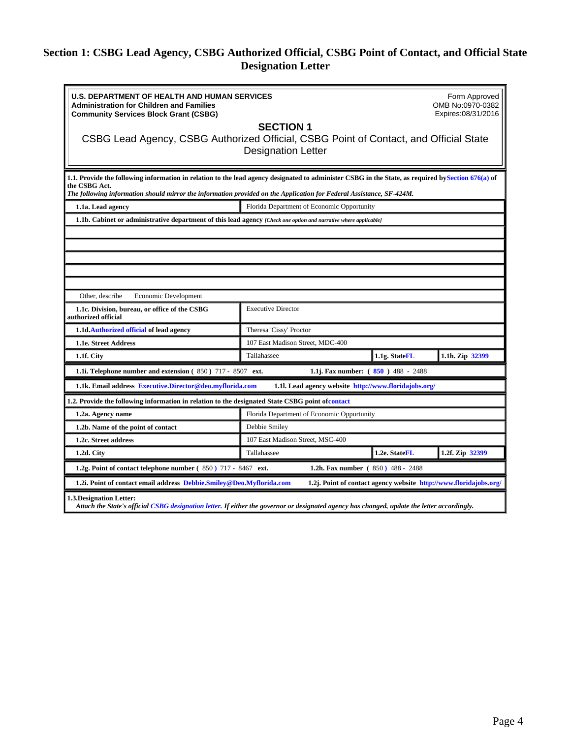### <span id="page-3-0"></span>**Section 1: CSBG Lead Agency, CSBG Authorized Official, CSBG Point of Contact, and Official State Designation Letter**

| <b>U.S. DEPARTMENT OF HEALTH AND HUMAN SERVICES</b><br><b>Administration for Children and Families</b><br><b>Community Services Block Grant (CSBG)</b>                                                                                                                                      |                                                                                                                  |                                                                   | Form Approved<br>OMB No:0970-0382<br>Expires:08/31/2016 |  |  |  |  |  |
|---------------------------------------------------------------------------------------------------------------------------------------------------------------------------------------------------------------------------------------------------------------------------------------------|------------------------------------------------------------------------------------------------------------------|-------------------------------------------------------------------|---------------------------------------------------------|--|--|--|--|--|
| CSBG Lead Agency, CSBG Authorized Official, CSBG Point of Contact, and Official State                                                                                                                                                                                                       | <b>SECTION 1</b><br><b>Designation Letter</b>                                                                    |                                                                   |                                                         |  |  |  |  |  |
| 1.1. Provide the following information in relation to the lead agency designated to administer CSBG in the State, as required by Section 676(a) of<br>the CSBG Act.<br>The following information should mirror the information provided on the Application for Federal Assistance, SF-424M. |                                                                                                                  |                                                                   |                                                         |  |  |  |  |  |
| 1.1a. Lead agency                                                                                                                                                                                                                                                                           | Florida Department of Economic Opportunity                                                                       |                                                                   |                                                         |  |  |  |  |  |
|                                                                                                                                                                                                                                                                                             | 1.1b. Cabinet or administrative department of this lead agency (Check one option and narrative where applicable) |                                                                   |                                                         |  |  |  |  |  |
|                                                                                                                                                                                                                                                                                             |                                                                                                                  |                                                                   |                                                         |  |  |  |  |  |
|                                                                                                                                                                                                                                                                                             |                                                                                                                  |                                                                   |                                                         |  |  |  |  |  |
|                                                                                                                                                                                                                                                                                             |                                                                                                                  |                                                                   |                                                         |  |  |  |  |  |
|                                                                                                                                                                                                                                                                                             |                                                                                                                  |                                                                   |                                                         |  |  |  |  |  |
|                                                                                                                                                                                                                                                                                             |                                                                                                                  |                                                                   |                                                         |  |  |  |  |  |
| Other, describe<br>Economic Development                                                                                                                                                                                                                                                     |                                                                                                                  |                                                                   |                                                         |  |  |  |  |  |
| 1.1c. Division, bureau, or office of the CSBG<br><b>Executive Director</b><br>authorized official                                                                                                                                                                                           |                                                                                                                  |                                                                   |                                                         |  |  |  |  |  |
| 1.1d.Authorized official of lead agency                                                                                                                                                                                                                                                     | Theresa 'Cissy' Proctor                                                                                          |                                                                   |                                                         |  |  |  |  |  |
| 1.1e. Street Address                                                                                                                                                                                                                                                                        | 107 East Madison Street, MDC-400                                                                                 |                                                                   |                                                         |  |  |  |  |  |
| 1.1f. City                                                                                                                                                                                                                                                                                  | Tallahassee                                                                                                      | 1.1g. StateFL                                                     | 1.1h. Zip 32399                                         |  |  |  |  |  |
| 1.1i. Telephone number and extension (850) 717 - 8507 ext.                                                                                                                                                                                                                                  | 1.1j. Fax number: $(850)$ 488 - 2488                                                                             |                                                                   |                                                         |  |  |  |  |  |
| 1.1k. Email address Executive.Director@deo.myflorida.com                                                                                                                                                                                                                                    | 1.1l. Lead agency website http://www.floridajobs.org/                                                            |                                                                   |                                                         |  |  |  |  |  |
| 1.2. Provide the following information in relation to the designated State CSBG point of contact                                                                                                                                                                                            |                                                                                                                  |                                                                   |                                                         |  |  |  |  |  |
| 1.2a. Agency name                                                                                                                                                                                                                                                                           | Florida Department of Economic Opportunity                                                                       |                                                                   |                                                         |  |  |  |  |  |
| 1.2b. Name of the point of contact                                                                                                                                                                                                                                                          | Debbie Smiley                                                                                                    |                                                                   |                                                         |  |  |  |  |  |
| 1.2c. Street address                                                                                                                                                                                                                                                                        | 107 East Madison Street, MSC-400                                                                                 |                                                                   |                                                         |  |  |  |  |  |
| 1.2d. City                                                                                                                                                                                                                                                                                  | Tallahassee                                                                                                      | 1.2e. StateFL                                                     | 1.2f. Zip 32399                                         |  |  |  |  |  |
| 1.2g. Point of contact telephone number (850) 717 - 8467 ext.                                                                                                                                                                                                                               | 1.2h. Fax number (850) 488 - 2488                                                                                |                                                                   |                                                         |  |  |  |  |  |
| 1.2i. Point of contact email address Debbie. Smiley@Deo.Myflorida.com                                                                                                                                                                                                                       |                                                                                                                  | 1.2j. Point of contact agency website http://www.floridajobs.org/ |                                                         |  |  |  |  |  |
| 1.3. Designation Letter:<br>Attach the State's official CSBG designation letter. If either the governor or designated agency has changed, update the letter accordingly.                                                                                                                    |                                                                                                                  |                                                                   |                                                         |  |  |  |  |  |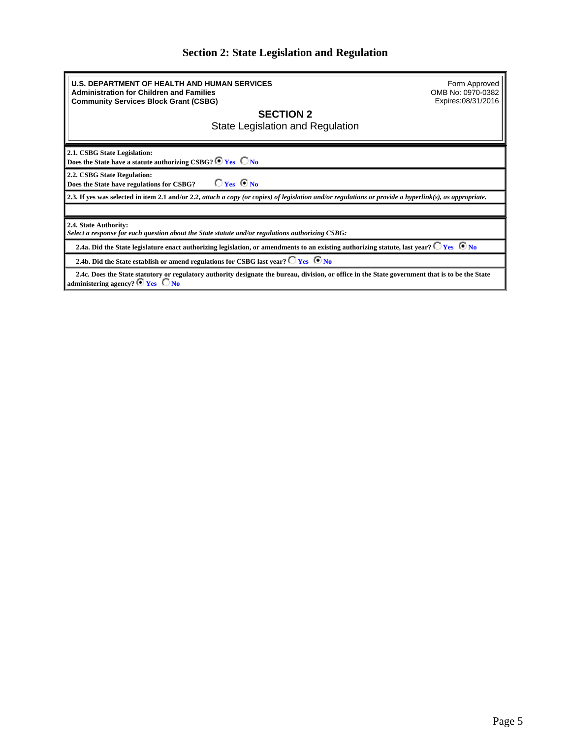### **Section 2: State Legislation and Regulation**

<span id="page-4-0"></span>**U.S. DEPARTMENT OF HEALTH AND HUMAN SERVICES Administration for Children and Families Community Services Block Grant (CSBG)** Form Approved OMB No: 0970-0382 Expires:08/31/2016 **SECTION 2** State Legislation and Regulation **2.1. CSBG State Legislation:** Does the State have a statute authorizing CSBG? <sup>6</sup> Yes  $\Box$  No **2.2. CSBG State Regulation: Does the State have regulations for CSBG?**  $\overline{V}$ **Yes**  $\overline{V}$ **No 2.3. If yes was selected in item 2.1 and/or 2.2,** *attach a copy (or copies) of legislation and/or regulations or provide a hyperlink(s), as appropriate.* **2.4. State Authority:** *Select a response for each question about the State statute and/or regulations authorizing CSBG:* 2.4a. Did the State legislature enact authorizing legislation, or amendments to an existing authorizing statute, last year?  $\bigcirc$  Yes  $\bigcirc$  No **2.4b. Did the State establish or amend regulations for CSBG last year?**  $\Box$  **Yes**  $\Box$  **No 2.4c. Does the State statutory or regulatory authority designate the bureau, division, or office in the State government that is to be the State**

**administering agency? e Yes C No**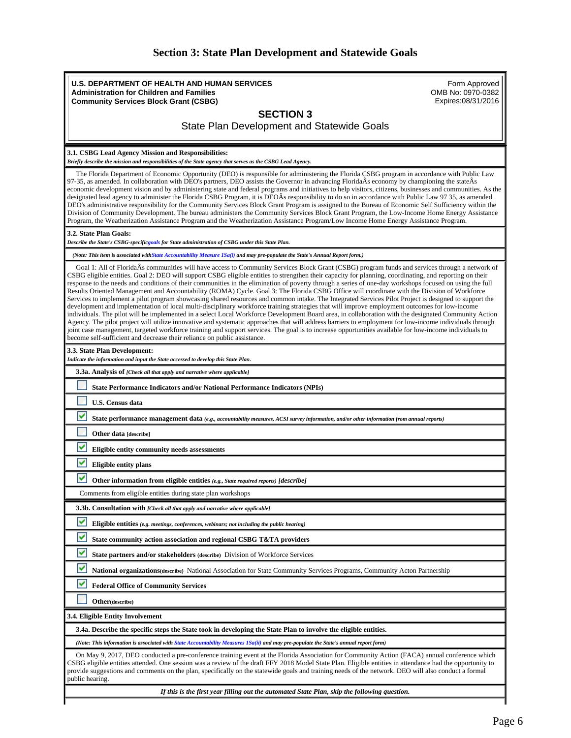| <b>Section 3: State Plan Development and Statewide Goals</b> |  |
|--------------------------------------------------------------|--|
|--------------------------------------------------------------|--|

<span id="page-5-0"></span>**U.S. DEPARTMENT OF HEALTH AND HUMAN SERVICES Administration for Children and Families Community Services Block Grant (CSBG)** Form Approved OMB No: 0970-0382 Expires:08/31/2016 **SECTION 3** State Plan Development and Statewide Goals **3.1. CSBG Lead Agency Mission and Responsibilities:** *Briefly describe the mission and responsibilities of the State agency that serves as the CSBG Lead Agency.* The Florida Department of Economic Opportunity (DEO) is responsible for administering the Florida CSBG program in accordance with Public Law 97-35, as amended. In collaboration with DEO's partners, DEO assists the Governor in advancing FloridaÂs economy by championing the stateÂs economic development vision and by administering state and federal programs and initiatives to help visitors, citizens, businesses and communities. As the designated lead agency to administer the Florida CSBG Program, it is DEOÂs responsibility to do so in accordance with Public Law 97 35, as amended. DEO's administrative responsibility for the Community Services Block Grant Program is assigned to the Bureau of Economic Self Sufficiency within the Division of Community Development. The bureau administers the Community Services Block Grant Program, the Low-Income Home Energy Assistance Program, the Weatherization Assistance Program and the Weatherization Assistance Program/Low Income Home Energy Assistance Program. **3.2. State Plan Goals:** *Describe the State's CSBG-specificgoals for State administration of CSBG under this State Plan. (Note: This item is associated withState Accountability Measure 1Sa(i) and may pre-populate the State's Annual Report form.)* Goal 1: All of FloridaÂs communities will have access to Community Services Block Grant (CSBG) program funds and services through a network of CSBG eligible entities. Goal 2: DEO will support CSBG eligible entities to strengthen their capacity for planning, coordinating, and reporting on their response to the needs and conditions of their communities in the elimination of poverty through a series of one-day workshops focused on using the full Results Oriented Management and Accountability (ROMA) Cycle. Goal 3: The Florida CSBG Office will coordinate with the Division of Workforce Services to implement a pilot program showcasing shared resources and common intake. The Integrated Services Pilot Project is designed to support the development and implementation of local multi-disciplinary workforce training strategies that will improve employment outcomes for low-income individuals. The pilot will be implemented in a select Local Workforce Development Board area, in collaboration with the designated Community Action Agency. The pilot project will utilize innovative and systematic approaches that will address barriers to employment for low-income individuals through joint case management, targeted workforce training and support services. The goal is to increase opportunities available for low-income individuals to become self-sufficient and decrease their reliance on public assistance. **3.3. State Plan Development:** *Indicate the information and input the State accessed to develop this State Plan.* **3.3a. Analysis of** *[Check all that apply and narrative where applicable]* **State Performance Indicators and/or National Performance Indicators (NPIs) U.S. Census data State performance management data** *(e.g., accountability measures, ACSI survey information, and/or other information from annual reports)* **Other data [describe] Eligible entity community needs assessments Eligible entity plans Other information from eligible entities** *(e.g., State required reports) [describe]* Comments from eligible entities during state plan workshops **3.3b. Consultation with** *[Check all that apply and narrative where applicable]* **Eligible entities** *(e.g. meetings, conferences, webinars; not including the public hearing)* **State community action association and regional CSBG T&TA providers State partners and/or stakeholders (describe)** Division of Workforce Services **National organizations(describe)** National Association for State Community Services Programs, Community Acton Partnership **Federal Office of Community Services Other(describe) 3.4. Eligible Entity Involvement 3.4a. Describe the specific steps the State took in developing the State Plan to involve the eligible entities.** *(Note: This information is associated with State Accountability Measures 1Sa(ii) and may pre-populate the State's annual report form)* On May 9, 2017, DEO conducted a pre-conference training event at the Florida Association for Community Action (FACA) annual conference which CSBG eligible entities attended. One session was a review of the draft FFY 2018 Model State Plan. Eligible entities in attendance had the opportunity to provide suggestions and comments on the plan, specifically on the statewide goals and training needs of the network. DEO will also conduct a formal public hearing. *If this is the first year filling out the automated State Plan, skip the following question.*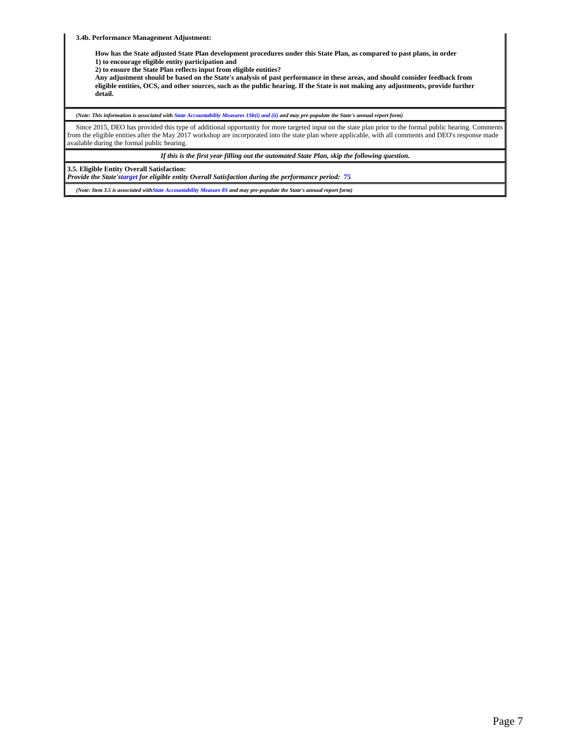**3.4b. Performance Management Adjustment:**

**How has the State adjusted State Plan development procedures under this State Plan, as compared to past plans, in order 1) to encourage eligible entity participation and**

**2) to ensure the State Plan reflects input from eligible entities?**

**Any adjustment should be based on the State's analysis of past performance in these areas, and should consider feedback from eligible entities, OCS, and other sources, such as the public hearing. If the State is not making any adjustments, provide further detail.**

*(Note: This information is associated with State Accountability Measures 1Sb(i) and (ii) and may pre-populate the State's annual report form)*

 Since 2015, DEO has provided this type of additional opportunity for more targeted input on the state plan prior to the formal public hearing. Comments from the eligible entities after the May 2017 workshop are incorporated into the state plan where applicable, with all comments and DEO's response made available during the formal public hearing.

*If this is the first year filling out the automated State Plan, skip the following question.*

**3.5. Eligible Entity Overall Satisfaction:**

*Provide the State'starget for eligible entity Overall Satisfaction during the performance period:* **75**

*(Note: Item 3.5 is associated withState Accountability Measure 8S and may pre-populate the State's annual report form)*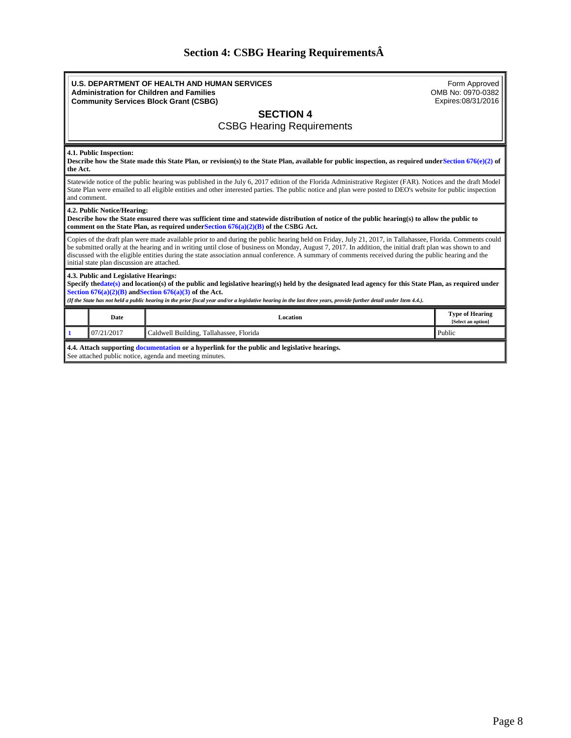# **Section 4: CSBG Hearing Requirements**

<span id="page-7-0"></span>

|                                                                                                                                                                                                                                                                                                                                                                                                                                                                                                                                 | <b>U.S. DEPARTMENT OF HEALTH AND HUMAN SERVICES</b><br><b>Administration for Children and Families</b><br><b>Community Services Block Grant (CSBG)</b> | Form Approved<br>OMB No: 0970-0382<br>Expires:08/31/2016 |  |  |  |  |  |  |
|---------------------------------------------------------------------------------------------------------------------------------------------------------------------------------------------------------------------------------------------------------------------------------------------------------------------------------------------------------------------------------------------------------------------------------------------------------------------------------------------------------------------------------|--------------------------------------------------------------------------------------------------------------------------------------------------------|----------------------------------------------------------|--|--|--|--|--|--|
| <b>SECTION 4</b><br><b>CSBG Hearing Requirements</b>                                                                                                                                                                                                                                                                                                                                                                                                                                                                            |                                                                                                                                                        |                                                          |  |  |  |  |  |  |
| 4.1. Public Inspection:<br>Describe how the State made this State Plan, or revision(s) to the State Plan, available for public inspection, as required under Section $676(e)(2)$ of<br>the Act.                                                                                                                                                                                                                                                                                                                                 |                                                                                                                                                        |                                                          |  |  |  |  |  |  |
| Statewide notice of the public hearing was published in the July 6, 2017 edition of the Florida Administrative Register (FAR). Notices and the draft Model<br>State Plan were emailed to all eligible entities and other interested parties. The public notice and plan were posted to DEO's website for public inspection<br>and comment.                                                                                                                                                                                      |                                                                                                                                                        |                                                          |  |  |  |  |  |  |
| 4.2. Public Notice/Hearing:<br>Describe how the State ensured there was sufficient time and statewide distribution of notice of the public hearing(s) to allow the public to<br>comment on the State Plan, as required under Section $676(a)(2)(B)$ of the CSBG Act.                                                                                                                                                                                                                                                            |                                                                                                                                                        |                                                          |  |  |  |  |  |  |
| Copies of the draft plan were made available prior to and during the public hearing held on Friday, July 21, 2017, in Tallahassee, Florida. Comments could<br>be submitted orally at the hearing and in writing until close of business on Monday, August 7, 2017. In addition, the initial draft plan was shown to and<br>discussed with the eligible entities during the state association annual conference. A summary of comments received during the public hearing and the<br>initial state plan discussion are attached. |                                                                                                                                                        |                                                          |  |  |  |  |  |  |
| 4.3. Public and Legislative Hearings:<br>Specify thedate(s) and location(s) of the public and legislative hearing(s) held by the designated lead agency for this State Plan, as required under<br>Section $676(a)(2)(B)$ and Section $676(a)(3)$ of the Act.<br>(If the State has not held a public hearing in the prior fiscal year and/or a legislative hearing in the last three years, provide further detail under Item 4.4.).                                                                                             |                                                                                                                                                        |                                                          |  |  |  |  |  |  |
| <b>Date</b>                                                                                                                                                                                                                                                                                                                                                                                                                                                                                                                     | Location                                                                                                                                               | <b>Type of Hearing</b><br>[Select an option]             |  |  |  |  |  |  |
| 07/21/2017                                                                                                                                                                                                                                                                                                                                                                                                                                                                                                                      | Caldwell Building, Tallahassee, Florida                                                                                                                | Public                                                   |  |  |  |  |  |  |
| 4.4. Attach supporting documentation or a hyperlink for the public and legislative hearings.<br>See attached public notice, agenda and meeting minutes.                                                                                                                                                                                                                                                                                                                                                                         |                                                                                                                                                        |                                                          |  |  |  |  |  |  |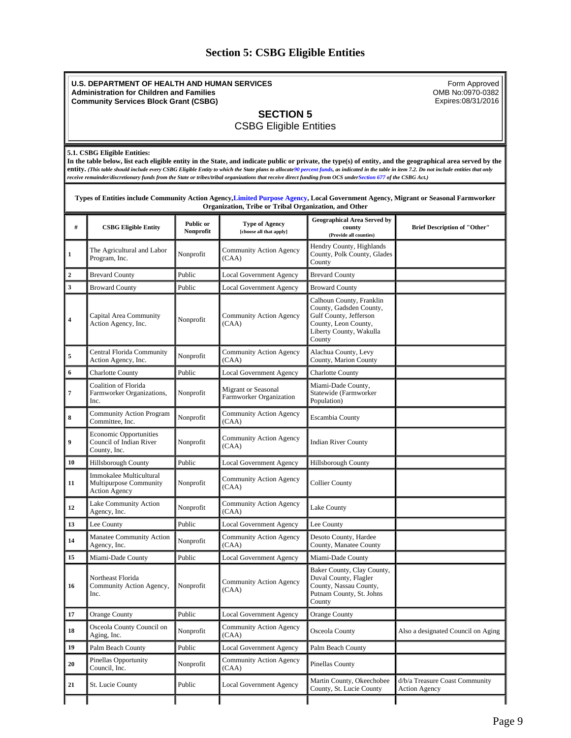### **Section 5: CSBG Eligible Entities**

#### <span id="page-8-0"></span>**U.S. DEPARTMENT OF HEALTH AND HUMAN SERVICES Administration for Children and Families Community Services Block Grant (CSBG)** Form Approved OMB No:0970-0382 Expires:08/31/2016 **SECTION 5** CSBG Eligible Entities **5.1. CSBG Eligible Entities: In the table below, list each eligible entity in the State, and indicate public or private, the type(s) of entity, and the geographical area served by the entity.** *(This table should include every CSBG Eligible Entity to which the State plans to allocate90 percent funds, as indicated in the table in item 7.2. Do not include entities that only receive remainder/discretionary funds from the State or tribes/tribal organizations that receive direct funding from OCS underSection 677 of the CSBG Act.)* **Types of Entities include Community Action Agency,Limited Purpose Agency, Local Government Agency, Migrant or Seasonal Farmworker Organization, Tribe or Tribal Organization, and Other # CSBG Eligible Entity Public or Nonprofit Type of Agency [choose all that apply] Geographical Area Served by county (Provide all counties) Brief Description of "Other" 1** The Agricultural and Labor Nonprofit Community Action Agency<br>Program, Inc. (CAA) Hendry County, Highlands County, Polk County, Glades County **2** Brevard County Public Local Government Agency Brevard County **3** Broward County **Public** Local Government Agency Broward County **<sup>4</sup>** Capital Area Community Capital Area Community<br>Action Agency, Inc. Nonprofit CAA) (CAA) Calhoun County, Franklin County, Gadsden County, Gulf County, Jefferson County, Leon County, Liberty County, Wakulla County **5** Central Florida Community<br>Action Agency, Inc. Nonprofit Community Action Agency (CAA) Alachua County, Levy County, Marion County **6** Charlotte County Public Local Government Agency Charlotte County  **7** Coalition of Florida Farmworker Organizations, Inc. Nonprofit Migrant or Seasonal Farmworker Organization Miami-Dade County, Statewide (Farmworker Population) 8 Community Action Program Nonprofit Community Action Agency<br>
Committee, Inc. (CAA) Community Action Agency Escambia County  **9** Economic Opportunities Council of Indian River County, Inc. Nonprofit  $\begin{bmatrix} \text{Commanity Action Agency} \\ (\text{CAA}) \end{bmatrix}$ **Indian River County** 10 Hillsborough County Public Local Government Agency Hillsborough County  **11** Immokalee Multicultural Multipurpose Community Action Agency Nonprofit Community Action Agency Collier County 12 **Lake Community Action**<br>Agency, Inc. Lake Community Action<br>Agency, Inc. Nonprofit CCAA) Community Action Agency Lake County 13 Lee County **Public** Local Government Agency Lee County 14 Manatee Community Action Nonprofit Community Action Agency<br>
CAA) (CAA) Desoto County, Hardee County, Manatee County 15 Miami-Dade County Public Local Government Agency Miami-Dade County  **16** Northeast Florida Community Action Agency, Inc. Nonprofit  $\bigcup_{\alpha \in \Lambda}$  Community Action Agency (CAA) Baker County, Clay County, Duval County, Flagler County, Nassau County, Putnam County, St. Johns County **17** Orange County **Public** Local Government Agency Orange County 18 **Osceola County Council on**<br>Aging, Inc. Nonprofit  $\begin{bmatrix} \text{Commanity Action Agency} \\ (\text{CAA}) \end{bmatrix}$ Osceola County Also a designated Council on Aging **19** Palm Beach County Public Local Government Agency Palm Beach County **20** Pinellas Opportunity<br>Council. Inc. Nonprofit  $\begin{bmatrix} \text{Commanity Action Agency} \\ (\text{CAA}) \end{bmatrix}$ Pinellas County 21 St. Lucie County Public Local Government Agency Martin County, Okeechobee County, St. Lucie County d/b/a Treasure Coast Community Action Agency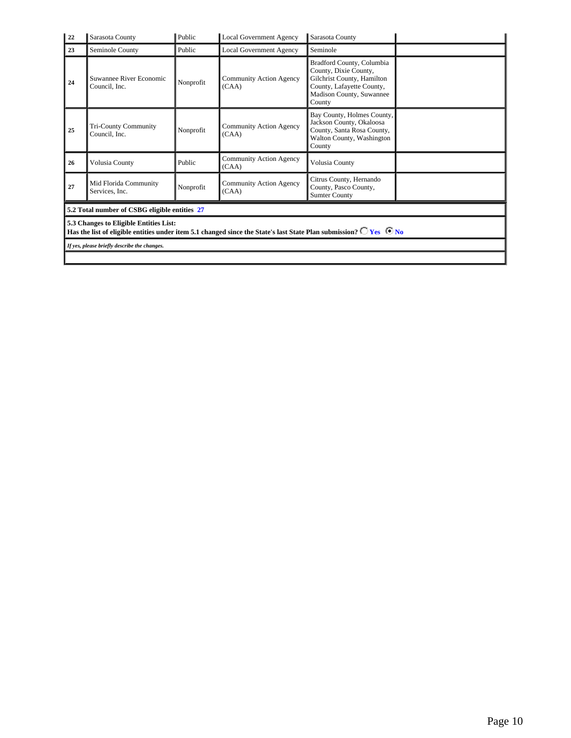| 22 | Sarasota County                                                                                                                                                               | Public    | Local Government Agency                 | Sarasota County                                                                                                                                     |  |  |  |  |
|----|-------------------------------------------------------------------------------------------------------------------------------------------------------------------------------|-----------|-----------------------------------------|-----------------------------------------------------------------------------------------------------------------------------------------------------|--|--|--|--|
| 23 | Seminole County                                                                                                                                                               | Public    | <b>Local Government Agency</b>          | Seminole                                                                                                                                            |  |  |  |  |
| 24 | Suwannee River Economic<br>Council, Inc.                                                                                                                                      | Nonprofit | Community Action Agency<br>(CAA)        | Bradford County, Columbia<br>County, Dixie County,<br>Gilchrist County, Hamilton<br>County, Lafayette County,<br>Madison County, Suwannee<br>County |  |  |  |  |
| 25 | <b>Tri-County Community</b><br>Council, Inc.                                                                                                                                  | Nonprofit | Community Action Agency<br>(CAA)        | Bay County, Holmes County,<br>Jackson County, Okaloosa<br>County, Santa Rosa County,<br>Walton County, Washington<br>County                         |  |  |  |  |
| 26 | Volusia County                                                                                                                                                                | Public    | <b>Community Action Agency</b><br>(CAA) | Volusia County                                                                                                                                      |  |  |  |  |
| 27 | Mid Florida Community<br>Services, Inc.                                                                                                                                       | Nonprofit | Community Action Agency<br>(CAA)        | Citrus County, Hernando<br>County, Pasco County,<br><b>Sumter County</b>                                                                            |  |  |  |  |
|    | 5.2 Total number of CSBG eligible entities 27                                                                                                                                 |           |                                         |                                                                                                                                                     |  |  |  |  |
|    | 5.3 Changes to Eligible Entities List:<br>Has the list of eligible entities under item 5.1 changed since the State's last State Plan submission? $\bigcirc$ Yes $\bigcirc$ No |           |                                         |                                                                                                                                                     |  |  |  |  |
|    | If yes, please briefly describe the changes.                                                                                                                                  |           |                                         |                                                                                                                                                     |  |  |  |  |
|    |                                                                                                                                                                               |           |                                         |                                                                                                                                                     |  |  |  |  |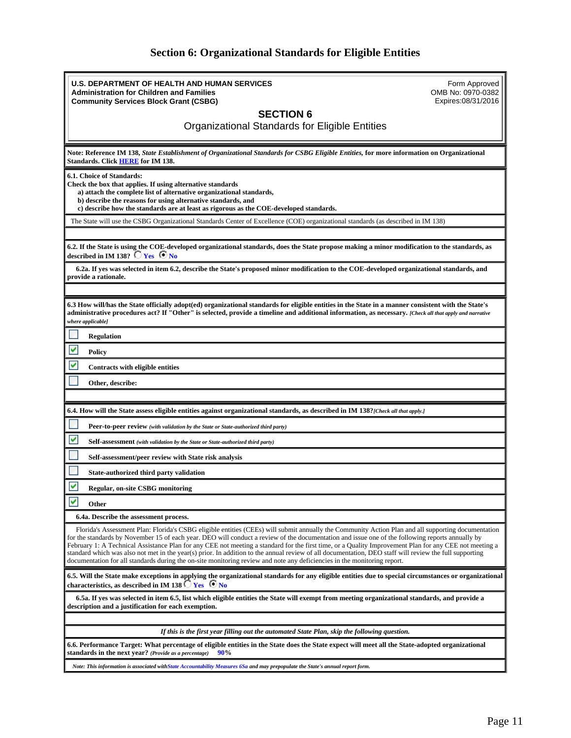## **Section 6: Organizational Standards for Eligible Entities**

<span id="page-10-0"></span>

| <b>U.S. DEPARTMENT OF HEALTH AND HUMAN SERVICES</b><br>Form Approved                                                                                                                                                                                                                                                                                                                                                                                                                                                                                                                                                                                                                                                                                   |
|--------------------------------------------------------------------------------------------------------------------------------------------------------------------------------------------------------------------------------------------------------------------------------------------------------------------------------------------------------------------------------------------------------------------------------------------------------------------------------------------------------------------------------------------------------------------------------------------------------------------------------------------------------------------------------------------------------------------------------------------------------|
| <b>Administration for Children and Families</b><br>OMB No: 0970-0382<br>Expires:08/31/2016<br><b>Community Services Block Grant (CSBG)</b>                                                                                                                                                                                                                                                                                                                                                                                                                                                                                                                                                                                                             |
| <b>SECTION 6</b>                                                                                                                                                                                                                                                                                                                                                                                                                                                                                                                                                                                                                                                                                                                                       |
| Organizational Standards for Eligible Entities                                                                                                                                                                                                                                                                                                                                                                                                                                                                                                                                                                                                                                                                                                         |
| Note: Reference IM 138, State Establishment of Organizational Standards for CSBG Eligible Entities, for more information on Organizational<br>Standards. Click HERE for IM 138.                                                                                                                                                                                                                                                                                                                                                                                                                                                                                                                                                                        |
| 6.1. Choice of Standards:<br>Check the box that applies. If using alternative standards<br>a) attach the complete list of alternative organizational standards,<br>b) describe the reasons for using alternative standards, and<br>c) describe how the standards are at least as rigorous as the COE-developed standards.                                                                                                                                                                                                                                                                                                                                                                                                                              |
| The State will use the CSBG Organizational Standards Center of Excellence (COE) organizational standards (as described in IM 138)                                                                                                                                                                                                                                                                                                                                                                                                                                                                                                                                                                                                                      |
|                                                                                                                                                                                                                                                                                                                                                                                                                                                                                                                                                                                                                                                                                                                                                        |
| 6.2. If the State is using the COE-developed organizational standards, does the State propose making a minor modification to the standards, as<br>described in IM 138? $\Box$ Yes $\Box$ No                                                                                                                                                                                                                                                                                                                                                                                                                                                                                                                                                            |
| 6.2a. If yes was selected in item 6.2, describe the State's proposed minor modification to the COE-developed organizational standards, and<br>provide a rationale.                                                                                                                                                                                                                                                                                                                                                                                                                                                                                                                                                                                     |
|                                                                                                                                                                                                                                                                                                                                                                                                                                                                                                                                                                                                                                                                                                                                                        |
| 6.3 How will/has the State officially adopt(ed) organizational standards for eligible entities in the State in a manner consistent with the State's<br>administrative procedures act? If "Other" is selected, provide a timeline and additional information, as necessary. [Check all that apply and narrative<br>where applicable]                                                                                                                                                                                                                                                                                                                                                                                                                    |
| <b>Regulation</b>                                                                                                                                                                                                                                                                                                                                                                                                                                                                                                                                                                                                                                                                                                                                      |
| Policy                                                                                                                                                                                                                                                                                                                                                                                                                                                                                                                                                                                                                                                                                                                                                 |
| Contracts with eligible entities                                                                                                                                                                                                                                                                                                                                                                                                                                                                                                                                                                                                                                                                                                                       |
| Other, describe:                                                                                                                                                                                                                                                                                                                                                                                                                                                                                                                                                                                                                                                                                                                                       |
|                                                                                                                                                                                                                                                                                                                                                                                                                                                                                                                                                                                                                                                                                                                                                        |
| 6.4. How will the State assess eligible entities against organizational standards, as described in IM 138? [Check all that apply.]                                                                                                                                                                                                                                                                                                                                                                                                                                                                                                                                                                                                                     |
| Peer-to-peer review (with validation by the State or State-authorized third party)                                                                                                                                                                                                                                                                                                                                                                                                                                                                                                                                                                                                                                                                     |
| Self-assessment (with validation by the State or State-authorized third party)                                                                                                                                                                                                                                                                                                                                                                                                                                                                                                                                                                                                                                                                         |
| Self-assessment/peer review with State risk analysis                                                                                                                                                                                                                                                                                                                                                                                                                                                                                                                                                                                                                                                                                                   |
| State-authorized third party validation                                                                                                                                                                                                                                                                                                                                                                                                                                                                                                                                                                                                                                                                                                                |
| Regular, on-site CSBG monitoring                                                                                                                                                                                                                                                                                                                                                                                                                                                                                                                                                                                                                                                                                                                       |
| v<br>Other                                                                                                                                                                                                                                                                                                                                                                                                                                                                                                                                                                                                                                                                                                                                             |
| 6.4a. Describe the assessment process.                                                                                                                                                                                                                                                                                                                                                                                                                                                                                                                                                                                                                                                                                                                 |
| Florida's Assessment Plan: Florida's CSBG eligible entities (CEEs) will submit annually the Community Action Plan and all supporting documentation<br>for the standards by November 15 of each year. DEO will conduct a review of the documentation and issue one of the following reports annually by<br>February 1: A Technical Assistance Plan for any CEE not meeting a standard for the first time, or a Quality Improvement Plan for any CEE not meeting a<br>standard which was also not met in the year(s) prior. In addition to the annual review of all documentation, DEO staff will review the full supporting<br>documentation for all standards during the on-site monitoring review and note any deficiencies in the monitoring report. |
| 6.5. Will the State make exceptions in applying the organizational standards for any eligible entities due to special circumstances or organizational<br>characteristics, as described in IM 138 $\Box$ Yes $\Box$ No                                                                                                                                                                                                                                                                                                                                                                                                                                                                                                                                  |
| 6.5a. If yes was selected in item 6.5, list which eligible entities the State will exempt from meeting organizational standards, and provide a<br>description and a justification for each exemption.                                                                                                                                                                                                                                                                                                                                                                                                                                                                                                                                                  |
|                                                                                                                                                                                                                                                                                                                                                                                                                                                                                                                                                                                                                                                                                                                                                        |
| If this is the first year filling out the automated State Plan, skip the following question.                                                                                                                                                                                                                                                                                                                                                                                                                                                                                                                                                                                                                                                           |
| 6.6. Performance Target: What percentage of eligible entities in the State does the State expect will meet all the State-adopted organizational<br>standards in the next year? (Provide as a percentage)<br>90%                                                                                                                                                                                                                                                                                                                                                                                                                                                                                                                                        |
| Note: This information is associated withState Accountability Measures 6Sa and may prepopulate the State's annual report form.                                                                                                                                                                                                                                                                                                                                                                                                                                                                                                                                                                                                                         |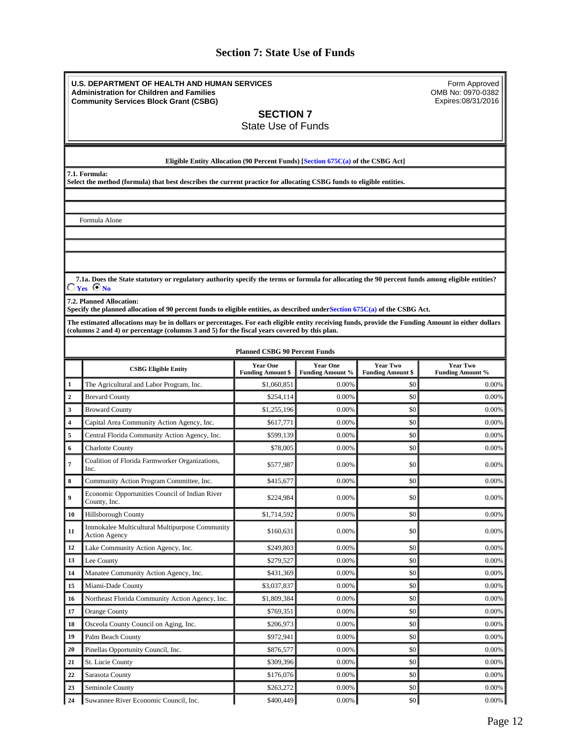### **Section 7: State Use of Funds**

<span id="page-11-0"></span>**U.S. DEPARTMENT OF HEALTH AND HUMAN SERVICES Administration for Children and Families Community Services Block Grant (CSBG)**

Form Approved OMB No: 0970-0382 Expires:08/31/2016

**SECTION 7**

State Use of Funds

**Eligible Entity Allocation (90 Percent Funds) [Section 675C(a) of the CSBG Act]**

**7.1. Formula:**

**Select the method (formula) that best describes the current practice for allocating CSBG funds to eligible entities.**

Formula Alone

 **7.1a. Does the State statutory or regulatory authority specify the terms or formula for allocating the 90 percent funds among eligible entities? Yes No** 

**7.2. Planned Allocation:**

**Specify the planned allocation of 90 percent funds to eligible entities, as described underSection 675C(a) of the CSBG Act.**

**The estimated allocations may be in dollars or percentages. For each eligible entity receiving funds, provide the Funding Amount in either dollars (columns 2 and 4) or percentage (columns 3 and 5) for the fiscal years covered by this plan.**

|                         | <b>Planned CSBG 90 Percent Funds</b>                                   |                                             |                                     |                                             |                                            |  |  |  |
|-------------------------|------------------------------------------------------------------------|---------------------------------------------|-------------------------------------|---------------------------------------------|--------------------------------------------|--|--|--|
|                         | <b>CSBG Eligible Entity</b>                                            | <b>Year One</b><br><b>Funding Amount \$</b> | <b>Year One</b><br>Funding Amount % | <b>Year Two</b><br><b>Funding Amount \$</b> | <b>Year Two</b><br><b>Funding Amount %</b> |  |  |  |
| 1                       | The Agricultural and Labor Program, Inc.                               | \$1,060,851                                 | 0.00%                               | \$0                                         | 0.00%                                      |  |  |  |
| $\overline{2}$          | <b>Brevard County</b>                                                  | \$254,114                                   | 0.00%                               | \$0                                         | 0.00%                                      |  |  |  |
| 3                       | <b>Broward County</b>                                                  | \$1,255,196                                 | 0.00%                               | \$0                                         | 0.00%                                      |  |  |  |
| $\overline{\mathbf{4}}$ | Capital Area Community Action Agency, Inc.                             | \$617,771                                   | 0.00%                               | \$0                                         | 0.00%                                      |  |  |  |
| 5                       | Central Florida Community Action Agency, Inc.                          | \$599.139                                   | 0.00%                               | \$0                                         | 0.00%                                      |  |  |  |
| 6                       | <b>Charlotte County</b>                                                | \$78,005                                    | 0.00%                               | \$0                                         | 0.00%                                      |  |  |  |
| 7                       | Coalition of Florida Farmworker Organizations,<br>Inc.                 | \$577,987                                   | 0.00%                               | \$0                                         | 0.00%                                      |  |  |  |
| 8                       | Community Action Program Committee, Inc.                               | \$415,677                                   | 0.00%                               | \$0                                         | 0.00%                                      |  |  |  |
| $\boldsymbol{9}$        | Economic Opportunities Council of Indian River<br>County, Inc.         | \$224,984                                   | 0.00%                               | \$0                                         | 0.00%                                      |  |  |  |
| 10                      | Hillsborough County                                                    | \$1,714,592                                 | 0.00%                               | \$0                                         | 0.00%                                      |  |  |  |
| 11                      | Immokalee Multicultural Multipurpose Community<br><b>Action Agency</b> | \$160,631                                   | 0.00%                               | \$0                                         | 0.00%                                      |  |  |  |
| 12                      | Lake Community Action Agency, Inc.                                     | \$249,803                                   | 0.00%                               | \$0                                         | 0.00%                                      |  |  |  |
| 13                      | Lee County                                                             | \$279,527                                   | 0.00%                               | \$0                                         | 0.00%                                      |  |  |  |
| 14                      | Manatee Community Action Agency, Inc.                                  | \$431,369                                   | 0.00%                               | \$0                                         | 0.00%                                      |  |  |  |
| 15                      | Miami-Dade County                                                      | \$3,037,837                                 | 0.00%                               | \$0                                         | 0.00%                                      |  |  |  |
| 16                      | Northeast Florida Community Action Agency, Inc.                        | \$1,809,384                                 | 0.00%                               | \$0                                         | 0.00%                                      |  |  |  |
| 17                      | <b>Orange County</b>                                                   | \$769,351                                   | 0.00%                               | \$0                                         | 0.00%                                      |  |  |  |
| 18                      | Osceola County Council on Aging, Inc.                                  | \$206,973                                   | 0.00%                               | \$0                                         | 0.00%                                      |  |  |  |
| 19                      | Palm Beach County                                                      | \$972,941                                   | 0.00%                               | \$0                                         | 0.00%                                      |  |  |  |
| 20                      | Pinellas Opportunity Council, Inc.                                     | \$876,577                                   | 0.00%                               | \$0                                         | 0.00%                                      |  |  |  |
| 21                      | St. Lucie County                                                       | \$309,396                                   | 0.00%                               | \$0                                         | 0.00%                                      |  |  |  |
| 22                      | Sarasota County                                                        | \$176,076                                   | 0.00%                               | \$0                                         | 0.00%                                      |  |  |  |
| 23                      | Seminole County                                                        | \$263,272                                   | 0.00%                               | \$0                                         | 0.00%                                      |  |  |  |
| 24                      | Suwannee River Economic Council, Inc.                                  | \$400,449                                   | 0.00%                               | $\frac{1}{2}$                               | $0.00\%$                                   |  |  |  |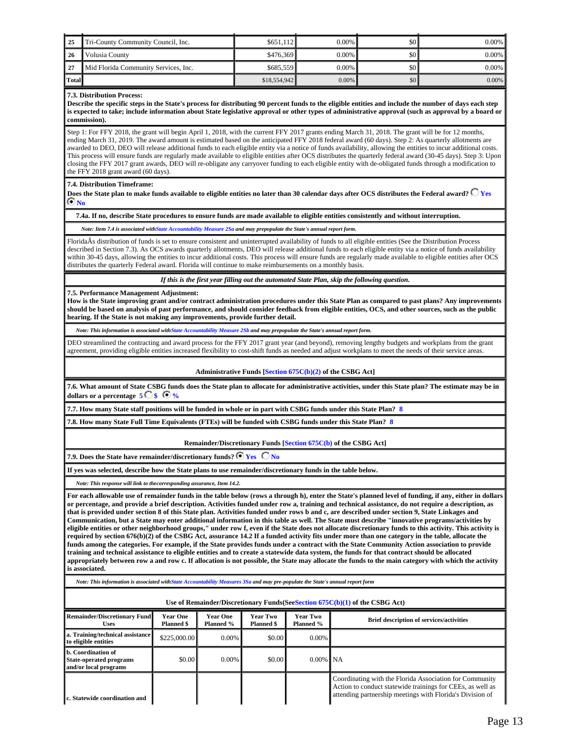| $\vert$ 25  | Tri-County Community Council, Inc.   | \$651.112    | $0.00\%$ | \$0 | $0.00\%$ |
|-------------|--------------------------------------|--------------|----------|-----|----------|
| $\sqrt{26}$ | Volusia County                       | \$476.369    | 0.00%    | \$0 | $0.00\%$ |
| $\sqrt{27}$ | Mid Florida Community Services, Inc. | \$685,559    | $0.00\%$ | \$0 | $0.00\%$ |
| Total       |                                      | \$18,554,942 | 0.00%    | \$0 | $0.00\%$ |

#### **7.3. Distribution Process:**

**Describe the specific steps in the State's process for distributing 90 percent funds to the eligible entities and include the number of days each step is expected to take; include information about State legislative approval or other types of administrative approval (such as approval by a board or commission).**

Step 1: For FFY 2018, the grant will begin April 1, 2018, with the current FFY 2017 grants ending March 31, 2018. The grant will be for 12 months, ending March 31, 2019. The award amount is estimated based on the anticipated FFY 2018 federal award (60 days). Step 2: As quarterly allotments are awarded to DEO, DEO will release additional funds to each eligible entity via a notice of funds availability, allowing the entities to incur additional costs. This process will ensure funds are regularly made available to eligible entities after OCS distributes the quarterly federal award (30-45 days). Step 3: Upon closing the FFY 2017 grant awards, DEO will re-obligate any carryover funding to each eligible entity with de-obligated funds through a modification to the FFY 2018 grant award (60 days).

#### **7.4. Distribution Timeframe:**

Does the State plan to make funds available to eligible entities no later than 30 calendar days after OCS distributes the Federal award? <sup>1</sup> Yes  **No** 

#### **7.4a. If no, describe State procedures to ensure funds are made available to eligible entities consistently and without interruption.**

#### *Note: Item 7.4 is associated withState Accountability Measure 2Sa and may prepopulate the State's annual report form.*

FloridaÂs distribution of funds is set to ensure consistent and uninterrupted availability of funds to all eligible entities (See the Distribution Process described in Section 7.3). As OCS awards quarterly allotments, DEO will release additional funds to each eligible entity via a notice of funds availability within 30-45 days, allowing the entities to incur additional costs. This process will ensure funds are regularly made available to eligible entities after OCS distributes the quarterly Federal award. Florida will continue to make reimbursements on a monthly basis.

*If this is the first year filling out the automated State Plan, skip the following question.*

**7.5. Performance Management Adjustment:**

**How is the State improving grant and/or contract administration procedures under this State Plan as compared to past plans? Any improvements should be based on analysis of past performance, and should consider feedback from eligible entities, OCS, and other sources, such as the public hearing. If the State is not making any improvements, provide further detail.**

*Note: This information is associated withState Accountability Measure 2Sb and may prepopulate the State's annual report form.*

DEO streamlined the contracting and award process for the FFY 2017 grant year (and beyond), removing lengthy budgets and workplans from the grant agreement, providing eligible entities increased flexibility to cost-shift funds as needed and adjust workplans to meet the needs of their service areas.

#### **Administrative Funds [Section 675C(b)(2) of the CSBG Act]**

**7.6. What amount of State CSBG funds does the State plan to allocate for administrative activities, under this State plan? The estimate may be in dollars or a percentage 5 \$ %** 

**7.7. How many State staff positions will be funded in whole or in part with CSBG funds under this State Plan? 8**

**7.8. How many State Full Time Equivalents (FTEs) will be funded with CSBG funds under this State Plan? 8**

#### **Remainder/Discretionary Funds [Section 675C(b) of the CSBG Act]**

**7.9. Does the State have remainder/discretionary funds?**  $\overline{\odot}$  **Yes**  $\overline{\bigcirc}$  No

#### **If yes was selected, describe how the State plans to use remainder/discretionary funds in the table below.**

*Note: This response will link to thecorresponding assurance, Item 14.2.*

**For each allowable use of remainder funds in the table below (rows a through h), enter the State's planned level of funding, if any, either in dollars or percentage, and provide a brief description. Activities funded under row a, training and technical assistance, do not require a description, as that is provided under section 8 of this State plan. Activities funded under rows b and c, are described under section 9, State Linkages and Communication, but a State may enter additional information in this table as well. The State must describe "innovative programs/activities by eligible entities or other neighborhood groups," under row f, even if the State does not allocate discretionary funds to this activity. This activity is required by section 676(b)(2) of the CSBG Act, assurance 14.2 If a funded activity fits under more than one category in the table, allocate the funds among the categories. For example, if the State provides funds under a contract with the State Community Action association to provide training and technical assistance to eligible entities and to create a statewide data system, the funds for that contract should be allocated appropriately between row a and row c. If allocation is not possible, the State may allocate the funds to the main category with which the activity is associated.**

*Note: This information is associated withState Accountability Measures 3Sa and may pre-populate the State's annual report form*

**Use of Remainder/Discretionary Funds(SeeSection 675C(b)(1) of the CSBG Act)**

| <b>Remainder/Discretionary Fund</b><br><b>Uses</b>                            | <b>Year One</b><br><b>Planned \$</b> | <b>Year One</b><br>Planned % | Year Two<br><b>Planned \$</b> | <b>Year Two</b><br>Planned % | <b>Brief description of services/activities</b>                                                                                                                                    |
|-------------------------------------------------------------------------------|--------------------------------------|------------------------------|-------------------------------|------------------------------|------------------------------------------------------------------------------------------------------------------------------------------------------------------------------------|
| a. Training/technical assistance<br>to eligible entities                      | \$225,000.00                         | $0.00\%$                     | \$0.00                        | 0.00%                        |                                                                                                                                                                                    |
| b. Coordination of<br><b>State-operated programs</b><br>and/or local programs | \$0.00                               | $0.00\%$                     | \$0.00                        | $0.00\%$ NA                  |                                                                                                                                                                                    |
| <b>c.</b> Statewide coordination and                                          |                                      |                              |                               |                              | Coordinating with the Florida Association for Community<br>Action to conduct statewide trainings for CEEs, as well as<br>attending partnership meetings with Florida's Division of |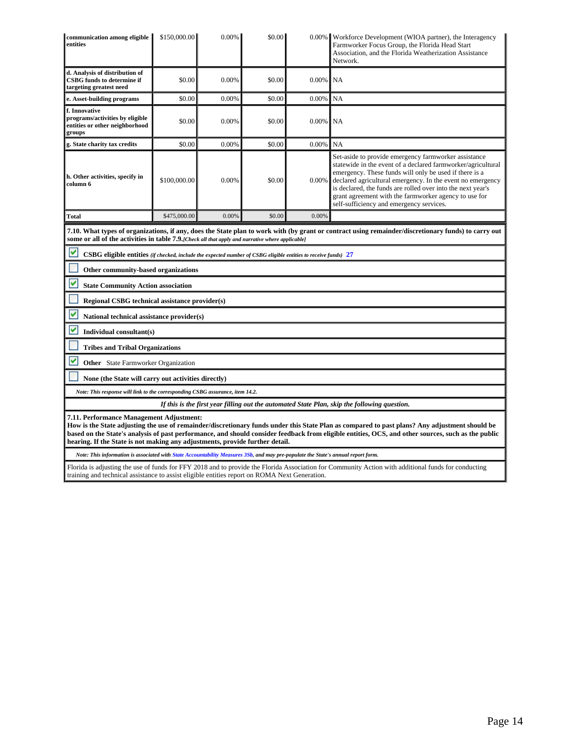| d. Analysis of distribution of<br><b>CSBG</b> funds to determine if<br>\$0.00<br>0.00%<br>\$0.00<br>0.00%<br>NA<br>targeting greatest need<br>NA<br>\$0.00<br>0.00%<br>\$0.00<br>0.00%<br>e. Asset-building programs                                                                                                                                                                                                                                                                                                                                                 |  |  |  |  |  |  |  |  |
|----------------------------------------------------------------------------------------------------------------------------------------------------------------------------------------------------------------------------------------------------------------------------------------------------------------------------------------------------------------------------------------------------------------------------------------------------------------------------------------------------------------------------------------------------------------------|--|--|--|--|--|--|--|--|
|                                                                                                                                                                                                                                                                                                                                                                                                                                                                                                                                                                      |  |  |  |  |  |  |  |  |
|                                                                                                                                                                                                                                                                                                                                                                                                                                                                                                                                                                      |  |  |  |  |  |  |  |  |
| f. Innovative<br>programs/activities by eligible<br>\$0.00<br>0.00%<br>0.00%<br>\$0.00<br>NA<br>entities or other neighborhood<br>groups                                                                                                                                                                                                                                                                                                                                                                                                                             |  |  |  |  |  |  |  |  |
| NA<br>\$0.00<br>0.00%<br>\$0.00<br>0.00%<br>g. State charity tax credits                                                                                                                                                                                                                                                                                                                                                                                                                                                                                             |  |  |  |  |  |  |  |  |
| Set-aside to provide emergency farmworker assistance<br>statewide in the event of a declared farmworker/agricultural<br>emergency. These funds will only be used if there is a<br>h. Other activities, specify in<br>\$100,000.00<br>0.00%<br>0.00%<br>\$0.00<br>declared agricultural emergency. In the event no emergency<br>column 6<br>is declared, the funds are rolled over into the next year's<br>grant agreement with the farmworker agency to use for<br>self-sufficiency and emergency services.                                                          |  |  |  |  |  |  |  |  |
| <b>Total</b><br>\$475,000.00<br>0.00%<br>\$0.00<br>0.00%                                                                                                                                                                                                                                                                                                                                                                                                                                                                                                             |  |  |  |  |  |  |  |  |
| 7.10. What types of organizations, if any, does the State plan to work with (by grant or contract using remainder/discretionary funds) to carry out<br>some or all of the activities in table 7.9. Check all that apply and narrative where applicable]                                                                                                                                                                                                                                                                                                              |  |  |  |  |  |  |  |  |
| M<br>CSBG eligible entities (if checked, include the expected number of CSBG eligible entities to receive funds) 27                                                                                                                                                                                                                                                                                                                                                                                                                                                  |  |  |  |  |  |  |  |  |
| Other community-based organizations                                                                                                                                                                                                                                                                                                                                                                                                                                                                                                                                  |  |  |  |  |  |  |  |  |
| M<br><b>State Community Action association</b>                                                                                                                                                                                                                                                                                                                                                                                                                                                                                                                       |  |  |  |  |  |  |  |  |
| Regional CSBG technical assistance provider(s)                                                                                                                                                                                                                                                                                                                                                                                                                                                                                                                       |  |  |  |  |  |  |  |  |
| National technical assistance provider(s)                                                                                                                                                                                                                                                                                                                                                                                                                                                                                                                            |  |  |  |  |  |  |  |  |
| Individual consultant(s)                                                                                                                                                                                                                                                                                                                                                                                                                                                                                                                                             |  |  |  |  |  |  |  |  |
| <b>Tribes and Tribal Organizations</b>                                                                                                                                                                                                                                                                                                                                                                                                                                                                                                                               |  |  |  |  |  |  |  |  |
| v<br><b>Other</b> State Farmworker Organization                                                                                                                                                                                                                                                                                                                                                                                                                                                                                                                      |  |  |  |  |  |  |  |  |
| None (the State will carry out activities directly)                                                                                                                                                                                                                                                                                                                                                                                                                                                                                                                  |  |  |  |  |  |  |  |  |
| Note: This response will link to the corresponding CSBG assurance, item 14.2.                                                                                                                                                                                                                                                                                                                                                                                                                                                                                        |  |  |  |  |  |  |  |  |
| If this is the first year filling out the automated State Plan, skip the following question.                                                                                                                                                                                                                                                                                                                                                                                                                                                                         |  |  |  |  |  |  |  |  |
| 7.11. Performance Management Adjustment:<br>How is the State adjusting the use of remainder/discretionary funds under this State Plan as compared to past plans? Any adjustment should be<br>based on the State's analysis of past performance, and should consider feedback from eligible entities, OCS, and other sources, such as the public<br>hearing. If the State is not making any adjustments, provide further detail.<br>Note: This information is associated with State Accountability Measures 3Sb, and may pre-populate the State's annual report form. |  |  |  |  |  |  |  |  |

Florida is adjusting the use of funds for FFY 2018 and to provide the Florida Association for Community Action with additional funds for conducting training and technical assistance to assist eligible entities report on ROMA Next Generation.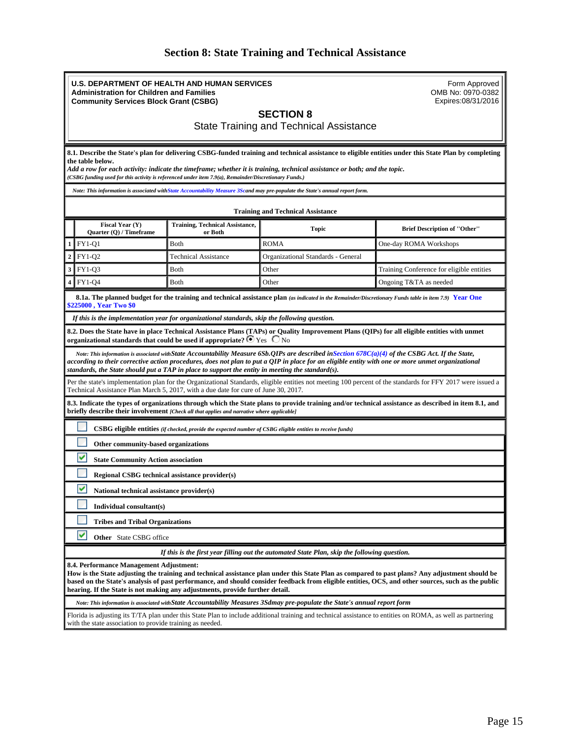## **Section 8: State Training and Technical Assistance**

<span id="page-14-0"></span>

|                                                                                                                                                                                                                                                                                                                                                                                                                                  | <b>U.S. DEPARTMENT OF HEALTH AND HUMAN SERVICES</b><br><b>Administration for Children and Families</b><br><b>Community Services Block Grant (CSBG)</b>                                                                   | Form Approved<br>OMB No: 0970-0382<br>Expires:08/31/2016                                      |                                                                                                                                                        |                                           |  |  |
|----------------------------------------------------------------------------------------------------------------------------------------------------------------------------------------------------------------------------------------------------------------------------------------------------------------------------------------------------------------------------------------------------------------------------------|--------------------------------------------------------------------------------------------------------------------------------------------------------------------------------------------------------------------------|-----------------------------------------------------------------------------------------------|--------------------------------------------------------------------------------------------------------------------------------------------------------|-------------------------------------------|--|--|
|                                                                                                                                                                                                                                                                                                                                                                                                                                  | <b>SECTION 8</b><br><b>State Training and Technical Assistance</b>                                                                                                                                                       |                                                                                               |                                                                                                                                                        |                                           |  |  |
| 8.1. Describe the State's plan for delivering CSBG-funded training and technical assistance to eligible entities under this State Plan by completing<br>the table below.<br>Add a row for each activity: indicate the timeframe; whether it is training, technical assistance or both; and the topic.<br>(CSBG funding used for this activity is referenced under item 7.9(a), Remainder/Discretionary Funds.)                   |                                                                                                                                                                                                                          |                                                                                               |                                                                                                                                                        |                                           |  |  |
|                                                                                                                                                                                                                                                                                                                                                                                                                                  |                                                                                                                                                                                                                          |                                                                                               | Note: This information is associated with State Accountability Measure 3Scand may pre-populate the State's annual report form.                         |                                           |  |  |
|                                                                                                                                                                                                                                                                                                                                                                                                                                  |                                                                                                                                                                                                                          |                                                                                               | <b>Training and Technical Assistance</b>                                                                                                               |                                           |  |  |
|                                                                                                                                                                                                                                                                                                                                                                                                                                  | Fiscal Year (Y)<br>Quarter (Q) / Timeframe                                                                                                                                                                               | <b>Training, Technical Assistance,</b><br>or Both                                             | Topic                                                                                                                                                  | <b>Brief Description of "Other"</b>       |  |  |
|                                                                                                                                                                                                                                                                                                                                                                                                                                  | <b>FY1-Q1</b>                                                                                                                                                                                                            | Both                                                                                          | <b>ROMA</b>                                                                                                                                            | One-day ROMA Workshops                    |  |  |
| $\overline{2}$                                                                                                                                                                                                                                                                                                                                                                                                                   | <b>FY1-Q2</b>                                                                                                                                                                                                            | <b>Technical Assistance</b>                                                                   | Organizational Standards - General                                                                                                                     |                                           |  |  |
| 3                                                                                                                                                                                                                                                                                                                                                                                                                                | FY1-Q3                                                                                                                                                                                                                   | <b>B</b> oth                                                                                  | Other                                                                                                                                                  | Training Conference for eligible entities |  |  |
|                                                                                                                                                                                                                                                                                                                                                                                                                                  | <b>FY1-Q4</b>                                                                                                                                                                                                            | <b>B</b> oth                                                                                  | Other                                                                                                                                                  | Ongoing T&TA as needed                    |  |  |
|                                                                                                                                                                                                                                                                                                                                                                                                                                  | <b>\$225000 , Year Two \$0</b>                                                                                                                                                                                           |                                                                                               | 8.1a. The planned budget for the training and technical assistance plan (as indicated in the Remainder/Discretionary Funds table in item 7.9) Year One |                                           |  |  |
|                                                                                                                                                                                                                                                                                                                                                                                                                                  |                                                                                                                                                                                                                          | If this is the implementation year for organizational standards, skip the following question. |                                                                                                                                                        |                                           |  |  |
|                                                                                                                                                                                                                                                                                                                                                                                                                                  |                                                                                                                                                                                                                          | organizational standards that could be used if appropriate? $\bullet$ Yes $\circ$ No          | 8.2. Does the State have in place Technical Assistance Plans (TAPs) or Quality Improvement Plans (QIPs) for all eligible entities with unmet           |                                           |  |  |
| Note: This information is associated with State Accountability Measure 6Sb. QIPs are described in Section 678 $C(a)(4)$ of the CSBG Act. If the State,<br>according to their corrective action procedures, does not plan to put a QIP in place for an eligible entity with one or more unmet organizational<br>standards, the State should put a TAP in place to support the entity in meeting the standard(s).                  |                                                                                                                                                                                                                          |                                                                                               |                                                                                                                                                        |                                           |  |  |
| Per the state's implementation plan for the Organizational Standards, eligible entities not meeting 100 percent of the standards for FFY 2017 were issued a<br>Technical Assistance Plan March 5, 2017, with a due date for cure of June 30, 2017.                                                                                                                                                                               |                                                                                                                                                                                                                          |                                                                                               |                                                                                                                                                        |                                           |  |  |
| 8.3. Indicate the types of organizations through which the State plans to provide training and/or technical assistance as described in item 8.1, and<br>briefly describe their involvement [Check all that applies and narrative where applicable]                                                                                                                                                                               |                                                                                                                                                                                                                          |                                                                                               |                                                                                                                                                        |                                           |  |  |
| CSBG eligible entities (if checked, provide the expected number of CSBG eligible entities to receive funds)                                                                                                                                                                                                                                                                                                                      |                                                                                                                                                                                                                          |                                                                                               |                                                                                                                                                        |                                           |  |  |
|                                                                                                                                                                                                                                                                                                                                                                                                                                  | Other community-based organizations                                                                                                                                                                                      |                                                                                               |                                                                                                                                                        |                                           |  |  |
| v<br><b>State Community Action association</b>                                                                                                                                                                                                                                                                                                                                                                                   |                                                                                                                                                                                                                          |                                                                                               |                                                                                                                                                        |                                           |  |  |
|                                                                                                                                                                                                                                                                                                                                                                                                                                  | <b>Regional CSBG technical assistance provider(s)</b>                                                                                                                                                                    |                                                                                               |                                                                                                                                                        |                                           |  |  |
|                                                                                                                                                                                                                                                                                                                                                                                                                                  | National technical assistance provider(s)                                                                                                                                                                                |                                                                                               |                                                                                                                                                        |                                           |  |  |
| Individual consultant(s)                                                                                                                                                                                                                                                                                                                                                                                                         |                                                                                                                                                                                                                          |                                                                                               |                                                                                                                                                        |                                           |  |  |
| <b>Tribes and Tribal Organizations</b>                                                                                                                                                                                                                                                                                                                                                                                           |                                                                                                                                                                                                                          |                                                                                               |                                                                                                                                                        |                                           |  |  |
| ✓<br>Other State CSBG office                                                                                                                                                                                                                                                                                                                                                                                                     |                                                                                                                                                                                                                          |                                                                                               |                                                                                                                                                        |                                           |  |  |
| If this is the first year filling out the automated State Plan, skip the following question.                                                                                                                                                                                                                                                                                                                                     |                                                                                                                                                                                                                          |                                                                                               |                                                                                                                                                        |                                           |  |  |
| 8.4. Performance Management Adjustment:<br>How is the State adjusting the training and technical assistance plan under this State Plan as compared to past plans? Any adjustment should be<br>based on the State's analysis of past performance, and should consider feedback from eligible entities, OCS, and other sources, such as the public<br>hearing. If the State is not making any adjustments, provide further detail. |                                                                                                                                                                                                                          |                                                                                               |                                                                                                                                                        |                                           |  |  |
|                                                                                                                                                                                                                                                                                                                                                                                                                                  | Note: This information is associated with State Accountability Measures 3Sdmay pre-populate the State's annual report form                                                                                               |                                                                                               |                                                                                                                                                        |                                           |  |  |
|                                                                                                                                                                                                                                                                                                                                                                                                                                  | Florida is adjusting its T/TA plan under this State Plan to include additional training and technical assistance to entities on ROMA, as well as partnering<br>with the state association to provide training as needed. |                                                                                               |                                                                                                                                                        |                                           |  |  |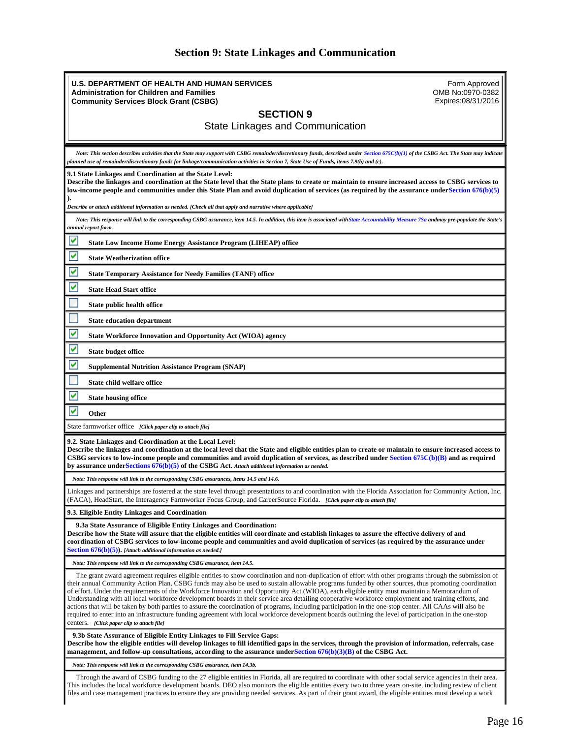## **Section 9: State Linkages and Communication**

<span id="page-15-0"></span>

| Form Approved<br>U.S. DEPARTMENT OF HEALTH AND HUMAN SERVICES<br>OMB No:0970-0382<br><b>Administration for Children and Families</b><br>Expires:08/31/2016<br><b>Community Services Block Grant (CSBG)</b>                                                                                                                                                                                                                                                                                                                                                                                                                                                                                                                                                                                                                                                                                                                                                                               |  |  |  |  |
|------------------------------------------------------------------------------------------------------------------------------------------------------------------------------------------------------------------------------------------------------------------------------------------------------------------------------------------------------------------------------------------------------------------------------------------------------------------------------------------------------------------------------------------------------------------------------------------------------------------------------------------------------------------------------------------------------------------------------------------------------------------------------------------------------------------------------------------------------------------------------------------------------------------------------------------------------------------------------------------|--|--|--|--|
| <b>SECTION 9</b>                                                                                                                                                                                                                                                                                                                                                                                                                                                                                                                                                                                                                                                                                                                                                                                                                                                                                                                                                                         |  |  |  |  |
| <b>State Linkages and Communication</b>                                                                                                                                                                                                                                                                                                                                                                                                                                                                                                                                                                                                                                                                                                                                                                                                                                                                                                                                                  |  |  |  |  |
|                                                                                                                                                                                                                                                                                                                                                                                                                                                                                                                                                                                                                                                                                                                                                                                                                                                                                                                                                                                          |  |  |  |  |
| Note: This section describes activities that the State may support with CSBG remainder/discretionary funds, described under Section $675C(b)(1)$ of the CSBG Act. The State may indicate<br>planned use of remainder/discretionary funds for linkage/communication activities in Section 7, State Use of Funds, items 7.9(b) and (c).                                                                                                                                                                                                                                                                                                                                                                                                                                                                                                                                                                                                                                                    |  |  |  |  |
| 9.1 State Linkages and Coordination at the State Level:<br>Describe the linkages and coordination at the State level that the State plans to create or maintain to ensure increased access to CSBG services to<br>low-income people and communities under this State Plan and avoid duplication of services (as required by the assurance under Section 676(b)(5)                                                                                                                                                                                                                                                                                                                                                                                                                                                                                                                                                                                                                        |  |  |  |  |
| [Describe or attach additional information as needed. [Check all that apply and narrative where applicable                                                                                                                                                                                                                                                                                                                                                                                                                                                                                                                                                                                                                                                                                                                                                                                                                                                                               |  |  |  |  |
| Note: This response will link to the corresponding CSBG assurance, item 14.5. In addition, this item is associated with State Accountability Measure 7Sa andmay pre-populate the State's<br>annual report form.                                                                                                                                                                                                                                                                                                                                                                                                                                                                                                                                                                                                                                                                                                                                                                          |  |  |  |  |
| ⊻<br><b>State Low Income Home Energy Assistance Program (LIHEAP) office</b>                                                                                                                                                                                                                                                                                                                                                                                                                                                                                                                                                                                                                                                                                                                                                                                                                                                                                                              |  |  |  |  |
| ⊻<br><b>State Weatherization office</b>                                                                                                                                                                                                                                                                                                                                                                                                                                                                                                                                                                                                                                                                                                                                                                                                                                                                                                                                                  |  |  |  |  |
| V<br><b>State Temporary Assistance for Needy Families (TANF) office</b>                                                                                                                                                                                                                                                                                                                                                                                                                                                                                                                                                                                                                                                                                                                                                                                                                                                                                                                  |  |  |  |  |
| Y<br><b>State Head Start office</b>                                                                                                                                                                                                                                                                                                                                                                                                                                                                                                                                                                                                                                                                                                                                                                                                                                                                                                                                                      |  |  |  |  |
| State public health office                                                                                                                                                                                                                                                                                                                                                                                                                                                                                                                                                                                                                                                                                                                                                                                                                                                                                                                                                               |  |  |  |  |
| <b>State education department</b>                                                                                                                                                                                                                                                                                                                                                                                                                                                                                                                                                                                                                                                                                                                                                                                                                                                                                                                                                        |  |  |  |  |
| ⊻<br><b>State Workforce Innovation and Opportunity Act (WIOA) agency</b>                                                                                                                                                                                                                                                                                                                                                                                                                                                                                                                                                                                                                                                                                                                                                                                                                                                                                                                 |  |  |  |  |
| Y<br><b>State budget office</b>                                                                                                                                                                                                                                                                                                                                                                                                                                                                                                                                                                                                                                                                                                                                                                                                                                                                                                                                                          |  |  |  |  |
| Y<br><b>Supplemental Nutrition Assistance Program (SNAP)</b>                                                                                                                                                                                                                                                                                                                                                                                                                                                                                                                                                                                                                                                                                                                                                                                                                                                                                                                             |  |  |  |  |
| State child welfare office                                                                                                                                                                                                                                                                                                                                                                                                                                                                                                                                                                                                                                                                                                                                                                                                                                                                                                                                                               |  |  |  |  |
| v<br><b>State housing office</b>                                                                                                                                                                                                                                                                                                                                                                                                                                                                                                                                                                                                                                                                                                                                                                                                                                                                                                                                                         |  |  |  |  |
| Other                                                                                                                                                                                                                                                                                                                                                                                                                                                                                                                                                                                                                                                                                                                                                                                                                                                                                                                                                                                    |  |  |  |  |
| State farmworker office [Click paper clip to attach file]                                                                                                                                                                                                                                                                                                                                                                                                                                                                                                                                                                                                                                                                                                                                                                                                                                                                                                                                |  |  |  |  |
| 9.2. State Linkages and Coordination at the Local Level:<br>Describe the linkages and coordination at the local level that the State and eligible entities plan to create or maintain to ensure increased access to<br>CSBG services to low-income people and communities and avoid duplication of services, as described under Section $675C(b)(B)$ and as required<br>by assurance under Sections $676(b)(5)$ of the CSBG Act. Attach additional information as needed.                                                                                                                                                                                                                                                                                                                                                                                                                                                                                                                |  |  |  |  |
| Note: This response will link to the corresponding CSBG assurances, items 14.5 and 14.6.                                                                                                                                                                                                                                                                                                                                                                                                                                                                                                                                                                                                                                                                                                                                                                                                                                                                                                 |  |  |  |  |
| Linkages and partnerships are fostered at the state level through presentations to and coordination with the Florida Association for Community Action, Inc.<br>(FACA), HeadStart, the Interagency Farmworker Focus Group, and CareerSource Florida. [Click paper clip to attach file]                                                                                                                                                                                                                                                                                                                                                                                                                                                                                                                                                                                                                                                                                                    |  |  |  |  |
| 9.3. Eligible Entity Linkages and Coordination                                                                                                                                                                                                                                                                                                                                                                                                                                                                                                                                                                                                                                                                                                                                                                                                                                                                                                                                           |  |  |  |  |
| 9.3a State Assurance of Eligible Entity Linkages and Coordination:<br>Describe how the State will assure that the eligible entities will coordinate and establish linkages to assure the effective delivery of and<br>coordination of CSBG services to low-income people and communities and avoid duplication of services (as required by the assurance under<br><b>Section 676(b)(5)).</b> [Attach additional information as needed.]                                                                                                                                                                                                                                                                                                                                                                                                                                                                                                                                                  |  |  |  |  |
| Note: This response will link to the corresponding CSBG assurance, item 14.5.                                                                                                                                                                                                                                                                                                                                                                                                                                                                                                                                                                                                                                                                                                                                                                                                                                                                                                            |  |  |  |  |
| The grant award agreement requires eligible entities to show coordination and non-duplication of effort with other programs through the submission of<br>their annual Community Action Plan. CSBG funds may also be used to sustain allowable programs funded by other sources, thus promoting coordination<br>of effort. Under the requirements of the Workforce Innovation and Opportunity Act (WIOA), each eligible entity must maintain a Memorandum of<br>Understanding with all local workforce development boards in their service area detailing cooperative workforce employment and training efforts, and<br>actions that will be taken by both parties to assure the coordination of programs, including participation in the one-stop center. All CAAs will also be<br>required to enter into an infrastructure funding agreement with local workforce development boards outlining the level of participation in the one-stop<br>centers. [Click paper clip to attach file] |  |  |  |  |
| 9.3b State Assurance of Eligible Entity Linkages to Fill Service Gaps:<br>Describe how the eligible entities will develop linkages to fill identified gaps in the services, through the provision of information, referrals, case<br>management, and follow-up consultations, according to the assurance under Section 676(b)(3)(B) of the CSBG Act.                                                                                                                                                                                                                                                                                                                                                                                                                                                                                                                                                                                                                                     |  |  |  |  |
| Note: This response will link to the corresponding CSBG assurance, item 14.3b.                                                                                                                                                                                                                                                                                                                                                                                                                                                                                                                                                                                                                                                                                                                                                                                                                                                                                                           |  |  |  |  |
| Through the award of CSBG funding to the 27 eligible entities in Florida, all are required to coordinate with other social service agencies in their area.<br>This includes the local workforce development boards. DEO also monitors the eligible entities every two to three years on-site, including review of client<br>files and case management practices to ensure they are providing needed services. As part of their grant award, the eligible entities must develop a work                                                                                                                                                                                                                                                                                                                                                                                                                                                                                                    |  |  |  |  |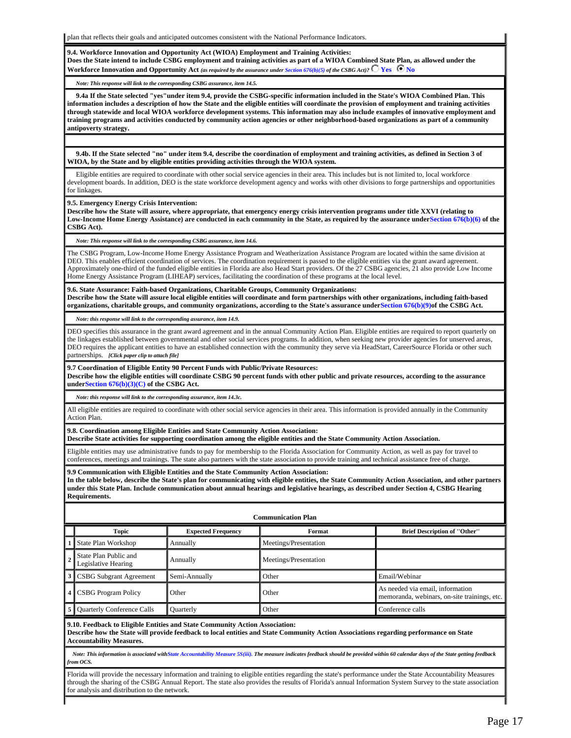plan that reflects their goals and anticipated outcomes consistent with the National Performance Indicators.

#### **9.4. Workforce Innovation and Opportunity Act (WIOA) Employment and Training Activities:**

**Does the State intend to include CSBG employment and training activities as part of a WIOA Combined State Plan, as allowed under the Workforce Innovation and Opportunity Act** *(as required by the assurance under Section 676(b)(5) of the CSBG Act)?*  $\bigcirc$  Yes  $\bigcirc$  No

*Note: This response will link to the corresponding CSBG assurance, item 14.5.*

 **9.4a If the State selected "yes"under item 9.4, provide the CSBG-specific information included in the State's WIOA Combined Plan. This information includes a description of how the State and the eligible entities will coordinate the provision of employment and training activities through statewide and local WIOA workforce development systems. This information may also include examples of innovative employment and training programs and activities conducted by community action agencies or other neighborhood-based organizations as part of a community antipoverty strategy.**

 **9.4b. If the State selected "no" under item 9.4, describe the coordination of employment and training activities, as defined in Section 3 of WIOA, by the State and by eligible entities providing activities through the WIOA system.**

 Eligible entities are required to coordinate with other social service agencies in their area. This includes but is not limited to, local workforce development boards. In addition, DEO is the state workforce development agency and works with other divisions to forge partnerships and opportunities for linkages.

**9.5. Emergency Energy Crisis Intervention:**

**Describe how the State will assure, where appropriate, that emergency energy crisis intervention programs under title XXVI (relating to Low-Income Home Energy Assistance) are conducted in each community in the State, as required by the assurance underSection 676(b)(6) of the CSBG Act).**

*Note: This response will link to the corresponding CSBG assurance, item 14.6.*

The CSBG Program, Low-Income Home Energy Assistance Program and Weatherization Assistance Program are located within the same division at DEO. This enables efficient coordination of services. The coordination requirement is passed to the eligible entities via the grant award agreement. Approximately one-third of the funded eligible entities in Florida are also Head Start providers. Of the 27 CSBG agencies, 21 also provide Low Income Home Energy Assistance Program (LIHEAP) services, facilitating the coordination of these programs at the local level.

#### **9.6. State Assurance: Faith-based Organizations, Charitable Groups, Community Organizations:**

**Describe how the State will assure local eligible entities will coordinate and form partnerships with other organizations, including faith-based organizations, charitable groups, and community organizations, according to the State's assurance underSection 676(b)(9)of the CSBG Act.**

*Note: this response will link to the corresponding assurance, item 14.9.*

DEO specifies this assurance in the grant award agreement and in the annual Community Action Plan. Eligible entities are required to report quarterly on the linkages established between governmental and other social services programs. In addition, when seeking new provider agencies for unserved areas, DEO requires the applicant entities to have an established connection with the community they serve via HeadStart, CareerSource Florida or other such partnerships. *[Click paper clip to attach file]*

#### **9.7 Coordination of Eligible Entity 90 Percent Funds with Public/Private Resources:**

**Describe how the eligible entities will coordinate CSBG 90 percent funds with other public and private resources, according to the assurance underSection 676(b)(3)(C) of the CSBG Act.**

*Note: this response will link to the corresponding assurance, item 14.3c.*

All eligible entities are required to coordinate with other social service agencies in their area. This information is provided annually in the Community Action Plan.

**9.8. Coordination among Eligible Entities and State Community Action Association:**

**Describe State activities for supporting coordination among the eligible entities and the State Community Action Association.**

Eligible entities may use administrative funds to pay for membership to the Florida Association for Community Action, as well as pay for travel to conferences, meetings and trainings. The state also partners with the state association to provide training and technical assistance free of charge.

#### **9.9 Communication with Eligible Entities and the State Community Action Association:**

**In the table below, describe the State's plan for communicating with eligible entities, the State Community Action Association, and other partners under this State Plan. Include communication about annual hearings and legislative hearings, as described under Section 4, CSBG Hearing Requirements.**

| <b>Communication Plan</b>                    |                           |                       |                                                                                  |  |  |  |
|----------------------------------------------|---------------------------|-----------------------|----------------------------------------------------------------------------------|--|--|--|
| Topic                                        | <b>Expected Frequency</b> | Format                | <b>Brief Description of "Other"</b>                                              |  |  |  |
| State Plan Workshop                          | Annually                  | Meetings/Presentation |                                                                                  |  |  |  |
| State Plan Public and<br>Legislative Hearing | Annually                  | Meetings/Presentation |                                                                                  |  |  |  |
| 3 CSBG Subgrant Agreement                    | Semi-Annually             | Other                 | Email/Webinar                                                                    |  |  |  |
| 4 CSBG Program Policy                        | Other                     | <b>Other</b>          | As needed via email, information<br>memoranda, webinars, on-site trainings, etc. |  |  |  |
| Quarterly Conference Calls                   | Quarterly                 | Other                 | Conference calls                                                                 |  |  |  |

**9.10. Feedback to Eligible Entities and State Community Action Association: Describe how the State will provide feedback to local entities and State Community Action Associations regarding performance on State Accountability Measures.**

 *Note: This information is associated withState Accountability Measure 5S(iii). The measure indicates feedback should be provided within 60 calendar days of the State getting feedback from OCS.*

Florida will provide the necessary information and training to eligible entities regarding the state's performance under the State Accountability Measures through the sharing of the CSBG Annual Report. The state also provides the results of Florida's annual Information System Survey to the state association for analysis and distribution to the network.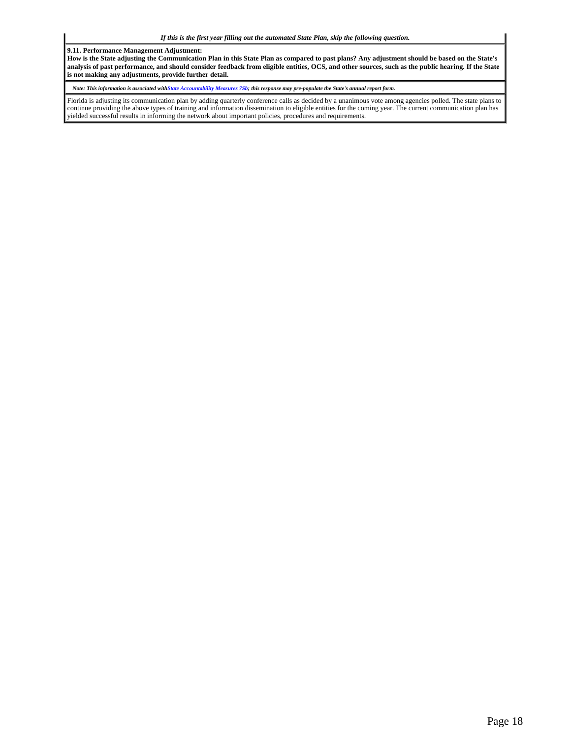**9.11. Performance Management Adjustment:**

**How is the State adjusting the Communication Plan in this State Plan as compared to past plans? Any adjustment should be based on the State's analysis of past performance, and should consider feedback from eligible entities, OCS, and other sources, such as the public hearing. If the State is not making any adjustments, provide further detail.**

*Note: This information is associated withState Accountability Measures 7Sb; this response may pre-populate the State's annual report form.*

Florida is adjusting its communication plan by adding quarterly conference calls as decided by a unanimous vote among agencies polled. The state plans to continue providing the above types of training and information dissemination to eligible entities for the coming year. The current communication plan has yielded successful results in informing the network about important policies, procedures and requirements.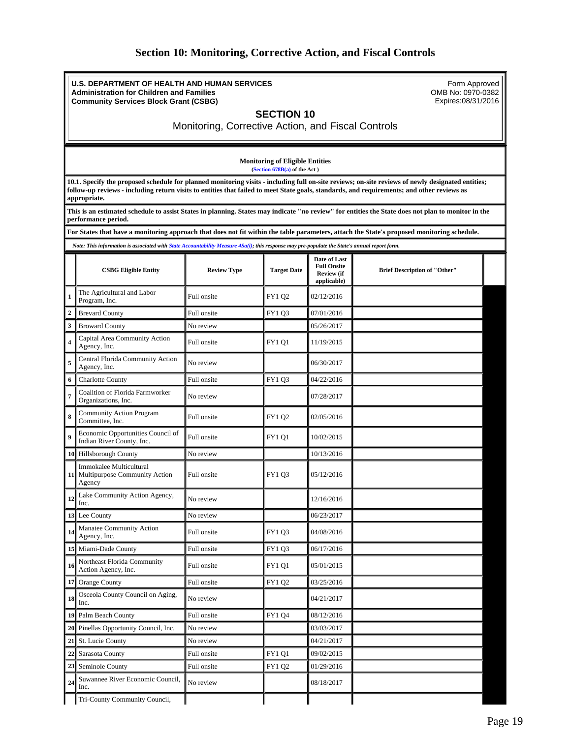### **Section 10: Monitoring, Corrective Action, and Fiscal Controls**

<span id="page-18-0"></span>**U.S. DEPARTMENT OF HEALTH AND HUMAN SERVICES Administration for Children and Families Community Services Block Grant (CSBG)**

Form Approved OMB No: 0970-0382 Expires:08/31/2016

### **SECTION 10**

Monitoring, Corrective Action, and Fiscal Controls

**Monitoring of Eligible Entities (Section 678B(a) of the Act )**

**10.1. Specify the proposed schedule for planned monitoring visits - including full on-site reviews; on-site reviews of newly designated entities; follow-up reviews - including return visits to entities that failed to meet State goals, standards, and requirements; and other reviews as appropriate.**

**This is an estimated schedule to assist States in planning. States may indicate "no review" for entities the State does not plan to monitor in the performance period.**

**For States that have a monitoring approach that does not fit within the table parameters, attach the State's proposed monitoring schedule.**

*Note: This information is associated with State Accountability Measure 4Sa(i); this response may pre-populate the State's annual report form.*

|                         | <b>CSBG Eligible Entity</b>                                           | <b>Review Type</b> | <b>Target Date</b> | Date of Last<br><b>Full Onsite</b><br>Review (if<br>applicable) | <b>Brief Description of "Other"</b> |
|-------------------------|-----------------------------------------------------------------------|--------------------|--------------------|-----------------------------------------------------------------|-------------------------------------|
| $\mathbf{1}$            | The Agricultural and Labor<br>Program, Inc.                           | Full onsite        | FY102              | 02/12/2016                                                      |                                     |
| $\mathbf 2$             | <b>Brevard County</b>                                                 | Full onsite        | FY1 Q3             | 07/01/2016                                                      |                                     |
| $\mathbf{3}$            | <b>Broward County</b>                                                 | No review          |                    | 05/26/2017                                                      |                                     |
| $\overline{\mathbf{4}}$ | Capital Area Community Action<br>Agency, Inc.                         | Full onsite        | FY1 Q1             | 11/19/2015                                                      |                                     |
| 5                       | Central Florida Community Action<br>Agency, Inc.                      | No review          |                    | 06/30/2017                                                      |                                     |
| 6                       | <b>Charlotte County</b>                                               | Full onsite        | FY1 Q3             | 04/22/2016                                                      |                                     |
| $\overline{7}$          | Coalition of Florida Farmworker<br>Organizations, Inc.                | No review          |                    | 07/28/2017                                                      |                                     |
| 8                       | Community Action Program<br>Committee, Inc.                           | Full onsite        | FY1 Q2             | 02/05/2016                                                      |                                     |
| $\boldsymbol{9}$        | Economic Opportunities Council of<br>Indian River County, Inc.        | Full onsite        | <b>FY1 Q1</b>      | 10/02/2015                                                      |                                     |
|                         | 10 Hillsborough County                                                | No review          |                    | 10/13/2016                                                      |                                     |
|                         | Immokalee Multicultural<br>11 Multipurpose Community Action<br>Agency | Full onsite        | FY1 Q3             | 05/12/2016                                                      |                                     |
| 12                      | Lake Community Action Agency,<br>Inc.                                 | No review          |                    | 12/16/2016                                                      |                                     |
| 13                      | Lee County                                                            | No review          |                    | 06/23/2017                                                      |                                     |
| 14                      | Manatee Community Action<br>Agency, Inc.                              | Full onsite        | FY1 Q3             | 04/08/2016                                                      |                                     |
| 15                      | Miami-Dade County                                                     | Full onsite        | FY1 Q3             | 06/17/2016                                                      |                                     |
| 16                      | Northeast Florida Community<br>Action Agency, Inc.                    | Full onsite        | <b>FY1 Q1</b>      | 05/01/2015                                                      |                                     |
| 17                      | <b>Orange County</b>                                                  | Full onsite        | FY1 Q2             | 03/25/2016                                                      |                                     |
| 18                      | Osceola County Council on Aging,<br>Inc.                              | No review          |                    | 04/21/2017                                                      |                                     |
| 19                      | Palm Beach County                                                     | Full onsite        | FY1 Q4             | 08/12/2016                                                      |                                     |
| 20                      | Pinellas Opportunity Council, Inc.                                    | No review          |                    | 03/03/2017                                                      |                                     |
| 21                      | St. Lucie County                                                      | No review          |                    | 04/21/2017                                                      |                                     |
| 22                      | Sarasota County                                                       | Full onsite        | FY1 Q1             | 09/02/2015                                                      |                                     |
| 23                      | Seminole County                                                       | Full onsite        | FY1 Q2             | 01/29/2016                                                      |                                     |
| 24                      | Suwannee River Economic Council,<br>Inc.                              | No review          |                    | 08/18/2017                                                      |                                     |
|                         | Tri-County Community Council,                                         |                    |                    |                                                                 |                                     |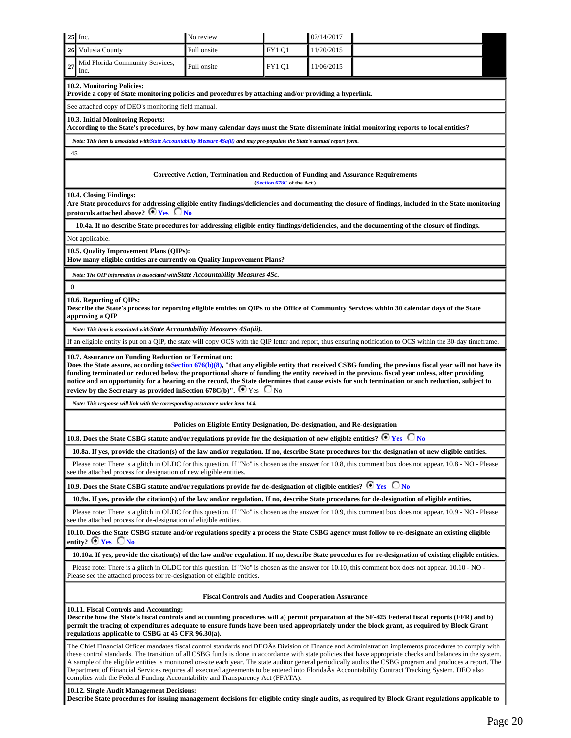| $25$ Inc.                                                                                                                                                                                                                                                                                                                                                                                                                                                                                                                                                                                                                                                                                                                | No review                                                                                                                                                                                                                      |                           | 07/14/2017 |                                                                                                                                                               |  |
|--------------------------------------------------------------------------------------------------------------------------------------------------------------------------------------------------------------------------------------------------------------------------------------------------------------------------------------------------------------------------------------------------------------------------------------------------------------------------------------------------------------------------------------------------------------------------------------------------------------------------------------------------------------------------------------------------------------------------|--------------------------------------------------------------------------------------------------------------------------------------------------------------------------------------------------------------------------------|---------------------------|------------|---------------------------------------------------------------------------------------------------------------------------------------------------------------|--|
| Volusia County<br>26                                                                                                                                                                                                                                                                                                                                                                                                                                                                                                                                                                                                                                                                                                     | Full onsite                                                                                                                                                                                                                    | <b>FY1 Q1</b>             | 11/20/2015 |                                                                                                                                                               |  |
| Mid Florida Community Services,<br>27<br>Inc.                                                                                                                                                                                                                                                                                                                                                                                                                                                                                                                                                                                                                                                                            | Full onsite                                                                                                                                                                                                                    | <b>FY1 Q1</b>             | 11/06/2015 |                                                                                                                                                               |  |
| 10.2. Monitoring Policies:<br>Provide a copy of State monitoring policies and procedures by attaching and/or providing a hyperlink.                                                                                                                                                                                                                                                                                                                                                                                                                                                                                                                                                                                      |                                                                                                                                                                                                                                |                           |            |                                                                                                                                                               |  |
| See attached copy of DEO's monitoring field manual.                                                                                                                                                                                                                                                                                                                                                                                                                                                                                                                                                                                                                                                                      |                                                                                                                                                                                                                                |                           |            |                                                                                                                                                               |  |
| 10.3. Initial Monitoring Reports:                                                                                                                                                                                                                                                                                                                                                                                                                                                                                                                                                                                                                                                                                        |                                                                                                                                                                                                                                |                           |            | According to the State's procedures, by how many calendar days must the State disseminate initial monitoring reports to local entities?                       |  |
| Note: This item is associated with State Accountability Measure 4Sa(ii) and may pre-populate the State's annual report form.                                                                                                                                                                                                                                                                                                                                                                                                                                                                                                                                                                                             |                                                                                                                                                                                                                                |                           |            |                                                                                                                                                               |  |
| 45                                                                                                                                                                                                                                                                                                                                                                                                                                                                                                                                                                                                                                                                                                                       |                                                                                                                                                                                                                                |                           |            |                                                                                                                                                               |  |
|                                                                                                                                                                                                                                                                                                                                                                                                                                                                                                                                                                                                                                                                                                                          | Corrective Action, Termination and Reduction of Funding and Assurance Requirements                                                                                                                                             | (Section 678C of the Act) |            |                                                                                                                                                               |  |
| 10.4. Closing Findings:<br>protocols attached above? $\bullet$ Yes $\bullet$ No                                                                                                                                                                                                                                                                                                                                                                                                                                                                                                                                                                                                                                          |                                                                                                                                                                                                                                |                           |            | Are State procedures for addressing eligible entity findings/deficiencies and documenting the closure of findings, included in the State monitoring           |  |
|                                                                                                                                                                                                                                                                                                                                                                                                                                                                                                                                                                                                                                                                                                                          |                                                                                                                                                                                                                                |                           |            | 10.4a. If no describe State procedures for addressing eligible entity findings/deficiencies, and the documenting of the closure of findings.                  |  |
| Not applicable.                                                                                                                                                                                                                                                                                                                                                                                                                                                                                                                                                                                                                                                                                                          |                                                                                                                                                                                                                                |                           |            |                                                                                                                                                               |  |
| 10.5. Quality Improvement Plans (QIPs):<br>How many eligible entities are currently on Quality Improvement Plans?                                                                                                                                                                                                                                                                                                                                                                                                                                                                                                                                                                                                        |                                                                                                                                                                                                                                |                           |            |                                                                                                                                                               |  |
| Note: The QIP information is associated with State Accountability Measures 4Sc.                                                                                                                                                                                                                                                                                                                                                                                                                                                                                                                                                                                                                                          |                                                                                                                                                                                                                                |                           |            |                                                                                                                                                               |  |
| $\mathbf{0}$                                                                                                                                                                                                                                                                                                                                                                                                                                                                                                                                                                                                                                                                                                             |                                                                                                                                                                                                                                |                           |            |                                                                                                                                                               |  |
| 10.6. Reporting of QIPs:<br>approving a QIP                                                                                                                                                                                                                                                                                                                                                                                                                                                                                                                                                                                                                                                                              |                                                                                                                                                                                                                                |                           |            | Describe the State's process for reporting eligible entities on QIPs to the Office of Community Services within 30 calendar days of the State                 |  |
| Note: This item is associated with State Accountability Measures 4Sa(iii).                                                                                                                                                                                                                                                                                                                                                                                                                                                                                                                                                                                                                                               |                                                                                                                                                                                                                                |                           |            |                                                                                                                                                               |  |
|                                                                                                                                                                                                                                                                                                                                                                                                                                                                                                                                                                                                                                                                                                                          |                                                                                                                                                                                                                                |                           |            | If an eligible entity is put on a QIP, the state will copy OCS with the QIP letter and report, thus ensuring notification to OCS within the 30-day timeframe. |  |
| 10.7. Assurance on Funding Reduction or Termination:<br>Does the State assure, according to Section 676(b)(8), "that any eligible entity that received CSBG funding the previous fiscal year will not have its<br>funding terminated or reduced below the proportional share of funding the entity received in the previous fiscal year unless, after providing<br>notice and an opportunity for a hearing on the record, the State determines that cause exists for such termination or such reduction, subject to<br>review by the Secretary as provided in Section 678C(b)". $\bullet$ Yes $\circ$ No                                                                                                                 |                                                                                                                                                                                                                                |                           |            |                                                                                                                                                               |  |
| Note: This response will link with the corresponding assurance under item 14.8.                                                                                                                                                                                                                                                                                                                                                                                                                                                                                                                                                                                                                                          |                                                                                                                                                                                                                                |                           |            |                                                                                                                                                               |  |
|                                                                                                                                                                                                                                                                                                                                                                                                                                                                                                                                                                                                                                                                                                                          | Policies on Eligible Entity Designation, De-designation, and Re-designation                                                                                                                                                    |                           |            |                                                                                                                                                               |  |
| 10.8. Does the State CSBG statute and/or regulations provide for the designation of new eligible entities? $\odot$ Yes $\circ$ No                                                                                                                                                                                                                                                                                                                                                                                                                                                                                                                                                                                        |                                                                                                                                                                                                                                |                           |            |                                                                                                                                                               |  |
|                                                                                                                                                                                                                                                                                                                                                                                                                                                                                                                                                                                                                                                                                                                          |                                                                                                                                                                                                                                |                           |            | 10.8a. If yes, provide the citation(s) of the law and/or regulation. If no, describe State procedures for the designation of new eligible entities.           |  |
|                                                                                                                                                                                                                                                                                                                                                                                                                                                                                                                                                                                                                                                                                                                          | Please note: There is a glitch in OLDC for this question. If "No" is chosen as the answer for 10.8, this comment box does not appear. 10.8 - NO - Please<br>see the attached process for designation of new eligible entities. |                           |            |                                                                                                                                                               |  |
| 10.9. Does the State CSBG statute and/or regulations provide for de-designation of eligible entities? $\bullet$ Yes $\circ$ No                                                                                                                                                                                                                                                                                                                                                                                                                                                                                                                                                                                           |                                                                                                                                                                                                                                |                           |            |                                                                                                                                                               |  |
|                                                                                                                                                                                                                                                                                                                                                                                                                                                                                                                                                                                                                                                                                                                          |                                                                                                                                                                                                                                |                           |            | 10.9a. If yes, provide the citation(s) of the law and/or regulation. If no, describe State procedures for de-designation of eligible entities.                |  |
|                                                                                                                                                                                                                                                                                                                                                                                                                                                                                                                                                                                                                                                                                                                          | Please note: There is a glitch in OLDC for this question. If "No" is chosen as the answer for 10.9, this comment box does not appear. 10.9 - NO - Please<br>see the attached process for de-designation of eligible entities.  |                           |            |                                                                                                                                                               |  |
| entity? $\bullet$ Yes $\circ$ No                                                                                                                                                                                                                                                                                                                                                                                                                                                                                                                                                                                                                                                                                         |                                                                                                                                                                                                                                |                           |            | 10.10. Does the State CSBG statute and/or regulations specify a process the State CSBG agency must follow to re-designate an existing eligible                |  |
| 10.10a. If yes, provide the citation(s) of the law and/or regulation. If no, describe State procedures for re-designation of existing eligible entities.                                                                                                                                                                                                                                                                                                                                                                                                                                                                                                                                                                 |                                                                                                                                                                                                                                |                           |            |                                                                                                                                                               |  |
| Please note: There is a glitch in OLDC for this question. If "No" is chosen as the answer for 10.10, this comment box does not appear. 10.10 - NO -<br>Please see the attached process for re-designation of eligible entities.                                                                                                                                                                                                                                                                                                                                                                                                                                                                                          |                                                                                                                                                                                                                                |                           |            |                                                                                                                                                               |  |
| <b>Fiscal Controls and Audits and Cooperation Assurance</b>                                                                                                                                                                                                                                                                                                                                                                                                                                                                                                                                                                                                                                                              |                                                                                                                                                                                                                                |                           |            |                                                                                                                                                               |  |
| 10.11. Fiscal Controls and Accounting:<br>Describe how the State's fiscal controls and accounting procedures will a) permit preparation of the SF-425 Federal fiscal reports (FFR) and b)<br>permit the tracing of expenditures adequate to ensure funds have been used appropriately under the block grant, as required by Block Grant<br>regulations applicable to CSBG at 45 CFR 96.30(a).                                                                                                                                                                                                                                                                                                                            |                                                                                                                                                                                                                                |                           |            |                                                                                                                                                               |  |
| The Chief Financial Officer mandates fiscal control standards and DEOAs Division of Finance and Administration implements procedures to comply with<br>these control standards. The transition of all CSBG funds is done in accordance with state policies that have appropriate checks and balances in the system.<br>A sample of the eligible entities is monitored on-site each year. The state auditor general periodically audits the CSBG program and produces a report. The<br>Department of Financial Services requires all executed agreements to be entered into FloridaÂs Accountability Contract Tracking System. DEO also<br>complies with the Federal Funding Accountability and Transparency Act (FFATA). |                                                                                                                                                                                                                                |                           |            |                                                                                                                                                               |  |
| 10.12. Single Audit Management Decisions:<br>Describe State procedures for issuing management decisions for eligible entity single audits, as required by Block Grant regulations applicable to                                                                                                                                                                                                                                                                                                                                                                                                                                                                                                                          |                                                                                                                                                                                                                                |                           |            |                                                                                                                                                               |  |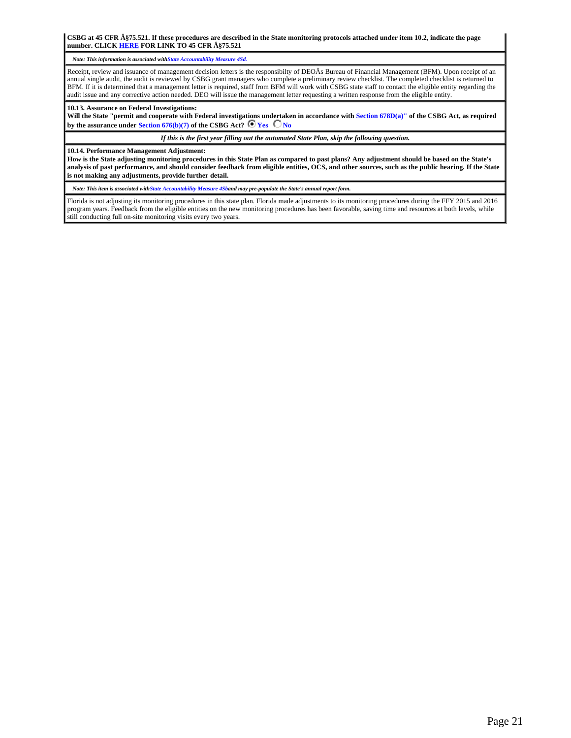**CSBG at 45 CFR §75.521. If these procedures are described in the State monitoring protocols attached under item 10.2, indicate the page number. CLICK [HERE](http://www.acf.hhs.gov/programs/ocs/resource/csbg-im-138-state-establishment-of-organizational-standards-for-csbg-eligible-entities) FOR LINK TO 45 CFR §75.521**

*Note: This information is associated withState Accountability Measure 4Sd.*

Receipt, review and issuance of management decision letters is the responsibilty of DEOÂs Bureau of Financial Management (BFM). Upon receipt of an annual single audit, the audit is reviewed by CSBG grant managers who complete a preliminary review checklist. The completed checklist is returned to BFM. If it is determined that a management letter is required, staff from BFM will work with CSBG state staff to contact the eligible entity regarding the audit issue and any corrective action needed. DEO will issue the management letter requesting a written response from the eligible entity.

#### **10.13. Assurance on Federal Investigations:**

**Will the State "permit and cooperate with Federal investigations undertaken in accordance with Section 678D(a)" of the CSBG Act, as required** by the assurance under **Section 676(b)(7)** of the CSBG Act?  $\bullet$  **Yes**  $\bullet$  **No** 

*If this is the first year filling out the automated State Plan, skip the following question.*

**10.14. Performance Management Adjustment:**

**How is the State adjusting monitoring procedures in this State Plan as compared to past plans? Any adjustment should be based on the State's analysis of past performance, and should consider feedback from eligible entities, OCS, and other sources, such as the public hearing. If the State is not making any adjustments, provide further detail.**

*Note: This item is associated withState Accountability Measure 4Sband may pre-populate the State's annual report form.*

Florida is not adjusting its monitoring procedures in this state plan. Florida made adjustments to its monitoring procedures during the FFY 2015 and 2016 program years. Feedback from the eligible entities on the new monitoring procedures has been favorable, saving time and resources at both levels, while still conducting full on-site monitoring visits every two years.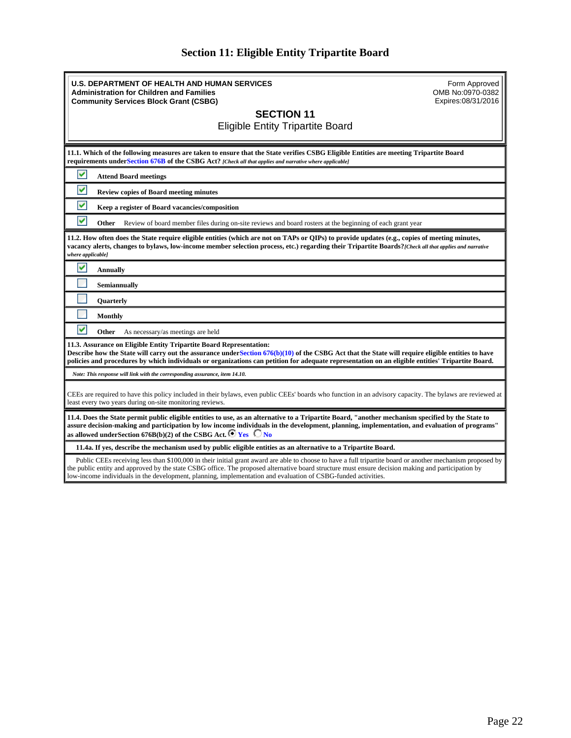## **Section 11: Eligible Entity Tripartite Board**

<span id="page-21-0"></span>

| <b>U.S. DEPARTMENT OF HEALTH AND HUMAN SERVICES</b><br><b>Administration for Children and Families</b><br><b>Community Services Block Grant (CSBG)</b><br><b>SECTION 11</b>                                                                                                                                                                                                           | Form Approved<br>OMB No:0970-0382<br>Expires:08/31/2016 |  |  |  |  |
|---------------------------------------------------------------------------------------------------------------------------------------------------------------------------------------------------------------------------------------------------------------------------------------------------------------------------------------------------------------------------------------|---------------------------------------------------------|--|--|--|--|
| <b>Eligible Entity Tripartite Board</b>                                                                                                                                                                                                                                                                                                                                               |                                                         |  |  |  |  |
| 11.1. Which of the following measures are taken to ensure that the State verifies CSBG Eligible Entities are meeting Tripartite Board<br>requirements underSection 676B of the CSBG Act? [Check all that applies and narrative where applicable]                                                                                                                                      |                                                         |  |  |  |  |
| v<br><b>Attend Board meetings</b>                                                                                                                                                                                                                                                                                                                                                     |                                                         |  |  |  |  |
| v<br><b>Review copies of Board meeting minutes</b>                                                                                                                                                                                                                                                                                                                                    |                                                         |  |  |  |  |
| v<br>Keep a register of Board vacancies/composition                                                                                                                                                                                                                                                                                                                                   |                                                         |  |  |  |  |
| M<br>Other<br>Review of board member files during on-site reviews and board rosters at the beginning of each grant year                                                                                                                                                                                                                                                               |                                                         |  |  |  |  |
| 11.2. How often does the State require eligible entities (which are not on TAPs or QIPs) to provide updates (e.g., copies of meeting minutes,<br>vacancy alerts, changes to bylaws, low-income member selection process, etc.) regarding their Tripartite Boards?/Check all that applies and narrative<br>where applicable]                                                           |                                                         |  |  |  |  |
| V<br><b>Annually</b>                                                                                                                                                                                                                                                                                                                                                                  |                                                         |  |  |  |  |
| Semiannually                                                                                                                                                                                                                                                                                                                                                                          |                                                         |  |  |  |  |
| <b>Quarterly</b>                                                                                                                                                                                                                                                                                                                                                                      |                                                         |  |  |  |  |
| <b>Monthly</b>                                                                                                                                                                                                                                                                                                                                                                        |                                                         |  |  |  |  |
| ▽<br>Other<br>As necessary/as meetings are held                                                                                                                                                                                                                                                                                                                                       |                                                         |  |  |  |  |
| 11.3. Assurance on Eligible Entity Tripartite Board Representation:<br>Describe how the State will carry out the assurance under Section 676(b)(10) of the CSBG Act that the State will require eligible entities to have<br>policies and procedures by which individuals or organizations can petition for adequate representation on an eligible entities' Tripartite Board.        |                                                         |  |  |  |  |
| Note: This response will link with the corresponding assurance, item 14.10.                                                                                                                                                                                                                                                                                                           |                                                         |  |  |  |  |
| CEEs are required to have this policy included in their bylaws, even public CEEs' boards who function in an advisory capacity. The bylaws are reviewed at<br>least every two years during on-site monitoring reviews.                                                                                                                                                                 |                                                         |  |  |  |  |
| 11.4. Does the State permit public eligible entities to use, as an alternative to a Tripartite Board, "another mechanism specified by the State to<br>assure decision-making and participation by low income individuals in the development, planning, implementation, and evaluation of programs"<br>as allowed under Section 676B(b)(2) of the CSBG Act. $\bullet$ Yes $\bullet$ No |                                                         |  |  |  |  |
| 11.4a. If yes, describe the mechanism used by public eligible entities as an alternative to a Tripartite Board.                                                                                                                                                                                                                                                                       |                                                         |  |  |  |  |
| Public CEEs receiving less than \$100,000 in their initial grant award are able to choose to have a full tripartite board or another mechanism proposed by                                                                                                                                                                                                                            |                                                         |  |  |  |  |

the public entity and approved by the state CSBG office. The proposed alternative board structure must ensure decision making and participation by low-income individuals in the development, planning, implementation and evaluation of CSBG-funded activities.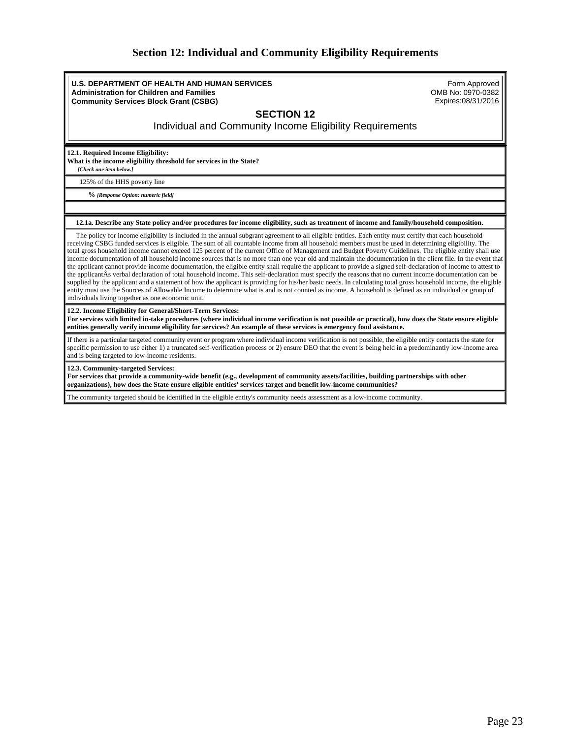### **Section 12: Individual and Community Eligibility Requirements**

<span id="page-22-0"></span>**U.S. DEPARTMENT OF HEALTH AND HUMAN SERVICES Administration for Children and Families Community Services Block Grant (CSBG)**

Form Approved OMB No: 0970-0382 Expires:08/31/2016

### **SECTION 12**

Individual and Community Income Eligibility Requirements

**12.1. Required Income Eligibility:**

**What is the income eligibility threshold for services in the State?**

*[Check one item below.]*

125% of the HHS poverty line

**%** *[Response Option: numeric field]*

#### **12.1a. Describe any State policy and/or procedures for income eligibility, such as treatment of income and family/household composition.**

 The policy for income eligibility is included in the annual subgrant agreement to all eligible entities. Each entity must certify that each household receiving CSBG funded services is eligible. The sum of all countable income from all household members must be used in determining eligibility. The total gross household income cannot exceed 125 percent of the current Office of Management and Budget Poverty Guidelines. The eligible entity shall use income documentation of all household income sources that is no more than one year old and maintain the documentation in the client file. In the event that the applicant cannot provide income documentation, the eligible entity shall require the applicant to provide a signed self-declaration of income to attest to the applicantÂs verbal declaration of total household income. This self-declaration must specify the reasons that no current income documentation can be supplied by the applicant and a statement of how the applicant is providing for his/her basic needs. In calculating total gross household income, the eligible entity must use the Sources of Allowable Income to determine what is and is not counted as income. A household is defined as an individual or group of individuals living together as one economic unit.

#### **12.2. Income Eligibility for General/Short-Term Services:**

**For services with limited in-take procedures (where individual income verification is not possible or practical), how does the State ensure eligible entities generally verify income eligibility for services? An example of these services is emergency food assistance.**

If there is a particular targeted community event or program where individual income verification is not possible, the eligible entity contacts the state for specific permission to use either 1) a truncated self-verification process or 2) ensure DEO that the event is being held in a predominantly low-income area and is being targeted to low-income residents.

**12.3. Community-targeted Services:**

**For services that provide a community-wide benefit (e.g., development of community assets/facilities, building partnerships with other organizations), how does the State ensure eligible entities' services target and benefit low-income communities?**

The community targeted should be identified in the eligible entity's community needs assessment as a low-income community.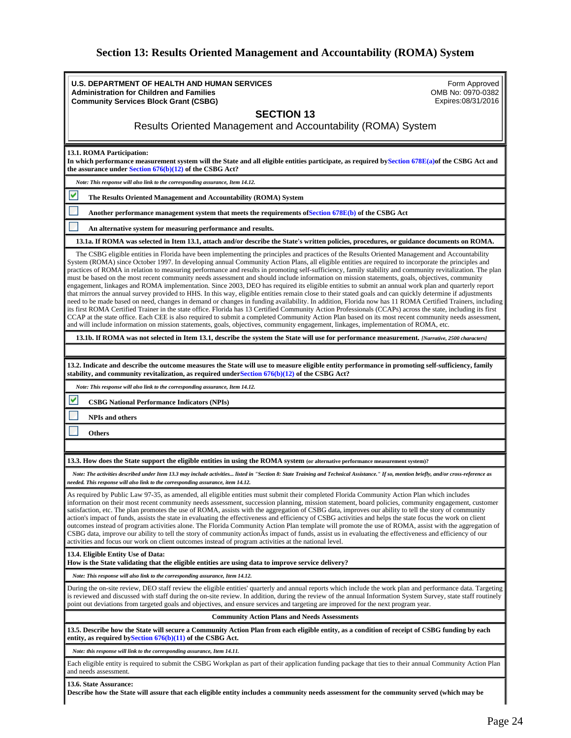## **Section 13: Results Oriented Management and Accountability (ROMA) System**

<span id="page-23-0"></span>

| U.S. DEPARTMENT OF HEALTH AND HUMAN SERVICES<br><b>Administration for Children and Families</b>                                                                                                                                                                                                                                                                                                                                                                                                                                                                                                                                                                                                                                                                                                                                                                                                                                                                                                                                                                                                                                                                                                                                                                                                                                                                                                                                                                                                                                                                     | Form Approved<br>OMB No: 0970-0382<br>Expires:08/31/2016 |  |  |  |  |
|---------------------------------------------------------------------------------------------------------------------------------------------------------------------------------------------------------------------------------------------------------------------------------------------------------------------------------------------------------------------------------------------------------------------------------------------------------------------------------------------------------------------------------------------------------------------------------------------------------------------------------------------------------------------------------------------------------------------------------------------------------------------------------------------------------------------------------------------------------------------------------------------------------------------------------------------------------------------------------------------------------------------------------------------------------------------------------------------------------------------------------------------------------------------------------------------------------------------------------------------------------------------------------------------------------------------------------------------------------------------------------------------------------------------------------------------------------------------------------------------------------------------------------------------------------------------|----------------------------------------------------------|--|--|--|--|
| <b>Community Services Block Grant (CSBG)</b>                                                                                                                                                                                                                                                                                                                                                                                                                                                                                                                                                                                                                                                                                                                                                                                                                                                                                                                                                                                                                                                                                                                                                                                                                                                                                                                                                                                                                                                                                                                        |                                                          |  |  |  |  |
| <b>SECTION 13</b><br>Results Oriented Management and Accountability (ROMA) System                                                                                                                                                                                                                                                                                                                                                                                                                                                                                                                                                                                                                                                                                                                                                                                                                                                                                                                                                                                                                                                                                                                                                                                                                                                                                                                                                                                                                                                                                   |                                                          |  |  |  |  |
| 13.1. ROMA Participation:<br>In which performance measurement system will the State and all eligible entities participate, as required by Section $678E(a)$ of the CSBG Act and<br>the assurance under Section $676(b)(12)$ of the CSBG Act?                                                                                                                                                                                                                                                                                                                                                                                                                                                                                                                                                                                                                                                                                                                                                                                                                                                                                                                                                                                                                                                                                                                                                                                                                                                                                                                        |                                                          |  |  |  |  |
| Note: This response will also link to the corresponding assurance, Item 14.12.                                                                                                                                                                                                                                                                                                                                                                                                                                                                                                                                                                                                                                                                                                                                                                                                                                                                                                                                                                                                                                                                                                                                                                                                                                                                                                                                                                                                                                                                                      |                                                          |  |  |  |  |
| v<br>The Results Oriented Management and Accountability (ROMA) System                                                                                                                                                                                                                                                                                                                                                                                                                                                                                                                                                                                                                                                                                                                                                                                                                                                                                                                                                                                                                                                                                                                                                                                                                                                                                                                                                                                                                                                                                               |                                                          |  |  |  |  |
| Another performance management system that meets the requirements of Section 678E(b) of the CSBG Act                                                                                                                                                                                                                                                                                                                                                                                                                                                                                                                                                                                                                                                                                                                                                                                                                                                                                                                                                                                                                                                                                                                                                                                                                                                                                                                                                                                                                                                                |                                                          |  |  |  |  |
| An alternative system for measuring performance and results.                                                                                                                                                                                                                                                                                                                                                                                                                                                                                                                                                                                                                                                                                                                                                                                                                                                                                                                                                                                                                                                                                                                                                                                                                                                                                                                                                                                                                                                                                                        |                                                          |  |  |  |  |
| 13.1a. If ROMA was selected in Item 13.1, attach and/or describe the State's written policies, procedures, or guidance documents on ROMA.                                                                                                                                                                                                                                                                                                                                                                                                                                                                                                                                                                                                                                                                                                                                                                                                                                                                                                                                                                                                                                                                                                                                                                                                                                                                                                                                                                                                                           |                                                          |  |  |  |  |
| The CSBG eligible entities in Florida have been implementing the principles and practices of the Results Oriented Management and Accountability<br>System (ROMA) since October 1997. In developing annual Community Action Plans, all eligible entities are required to incorporate the principles and<br>practices of ROMA in relation to measuring performance and results in promoting self-sufficiency, family stability and community revitalization. The plan<br>must be based on the most recent community needs assessment and should include information on mission statements, goals, objectives, community<br>engagement, linkages and ROMA implementation. Since 2003, DEO has required its eligible entities to submit an annual work plan and quarterly report<br>that mirrors the annual survey provided to HHS. In this way, eligible entities remain close to their stated goals and can quickly determine if adjustments<br>need to be made based on need, changes in demand or changes in funding availability. In addition, Florida now has 11 ROMA Certified Trainers, including<br>its first ROMA Certified Trainer in the state office. Florida has 13 Certified Community Action Professionals (CCAPs) across the state, including its first<br>CCAP at the state office. Each CEE is also required to submit a completed Community Action Plan based on its most recent community needs assessment,<br>and will include information on mission statements, goals, objectives, community engagement, linkages, implementation of ROMA, etc. |                                                          |  |  |  |  |
| 13.1b. If ROMA was not selected in Item 13.1, describe the system the State will use for performance measurement. [Narrative, 2500 characters]                                                                                                                                                                                                                                                                                                                                                                                                                                                                                                                                                                                                                                                                                                                                                                                                                                                                                                                                                                                                                                                                                                                                                                                                                                                                                                                                                                                                                      |                                                          |  |  |  |  |
|                                                                                                                                                                                                                                                                                                                                                                                                                                                                                                                                                                                                                                                                                                                                                                                                                                                                                                                                                                                                                                                                                                                                                                                                                                                                                                                                                                                                                                                                                                                                                                     |                                                          |  |  |  |  |
| 13.2. Indicate and describe the outcome measures the State will use to measure eligible entity performance in promoting self-sufficiency, family<br>stability, and community revitalization, as required under Section $676(b)(12)$ of the CSBG Act?                                                                                                                                                                                                                                                                                                                                                                                                                                                                                                                                                                                                                                                                                                                                                                                                                                                                                                                                                                                                                                                                                                                                                                                                                                                                                                                |                                                          |  |  |  |  |
| Note: This response will also link to the corresponding assurance, Item 14.12.                                                                                                                                                                                                                                                                                                                                                                                                                                                                                                                                                                                                                                                                                                                                                                                                                                                                                                                                                                                                                                                                                                                                                                                                                                                                                                                                                                                                                                                                                      |                                                          |  |  |  |  |
| v<br><b>CSBG National Performance Indicators (NPIs)</b>                                                                                                                                                                                                                                                                                                                                                                                                                                                                                                                                                                                                                                                                                                                                                                                                                                                                                                                                                                                                                                                                                                                                                                                                                                                                                                                                                                                                                                                                                                             |                                                          |  |  |  |  |
| <b>NPIs and others</b>                                                                                                                                                                                                                                                                                                                                                                                                                                                                                                                                                                                                                                                                                                                                                                                                                                                                                                                                                                                                                                                                                                                                                                                                                                                                                                                                                                                                                                                                                                                                              |                                                          |  |  |  |  |
| <b>Others</b>                                                                                                                                                                                                                                                                                                                                                                                                                                                                                                                                                                                                                                                                                                                                                                                                                                                                                                                                                                                                                                                                                                                                                                                                                                                                                                                                                                                                                                                                                                                                                       |                                                          |  |  |  |  |
|                                                                                                                                                                                                                                                                                                                                                                                                                                                                                                                                                                                                                                                                                                                                                                                                                                                                                                                                                                                                                                                                                                                                                                                                                                                                                                                                                                                                                                                                                                                                                                     |                                                          |  |  |  |  |
| 13.3. How does the State support the eligible entities in using the ROMA system (or alternative performance measurement system)?                                                                                                                                                                                                                                                                                                                                                                                                                                                                                                                                                                                                                                                                                                                                                                                                                                                                                                                                                                                                                                                                                                                                                                                                                                                                                                                                                                                                                                    |                                                          |  |  |  |  |
| Note: The activities described under Item 13.3 may include activities listed in "Section 8: State Training and Technical Assistance." If so, mention briefly, and/or cross-reference as<br>needed. This response will also link to the corresponding assurance, item 14.12.                                                                                                                                                                                                                                                                                                                                                                                                                                                                                                                                                                                                                                                                                                                                                                                                                                                                                                                                                                                                                                                                                                                                                                                                                                                                                         |                                                          |  |  |  |  |
| As required by Public Law 97-35, as amended, all eligible entities must submit their completed Florida Community Action Plan which includes<br>information on their most recent community needs assessment, succession planning, mission statement, board policies, community engagement, customer<br>satisfaction, etc. The plan promotes the use of ROMA, assists with the aggregation of CSBG data, improves our ability to tell the story of community<br>action's impact of funds, assists the state in evaluating the effectiveness and efficiency of CSBG activities and helps the state focus the work on client<br>outcomes instead of program activities alone. The Florida Community Action Plan template will promote the use of ROMA, assist with the aggregation of<br>CSBG data, improve our ability to tell the story of community action As impact of funds, assist us in evaluating the effectiveness and efficiency of our<br>activities and focus our work on client outcomes instead of program activities at the national level.                                                                                                                                                                                                                                                                                                                                                                                                                                                                                                              |                                                          |  |  |  |  |
| 13.4. Eligible Entity Use of Data:<br>How is the State validating that the eligible entities are using data to improve service delivery?                                                                                                                                                                                                                                                                                                                                                                                                                                                                                                                                                                                                                                                                                                                                                                                                                                                                                                                                                                                                                                                                                                                                                                                                                                                                                                                                                                                                                            |                                                          |  |  |  |  |
| Note: This response will also link to the corresponding assurance, Item 14.12.                                                                                                                                                                                                                                                                                                                                                                                                                                                                                                                                                                                                                                                                                                                                                                                                                                                                                                                                                                                                                                                                                                                                                                                                                                                                                                                                                                                                                                                                                      |                                                          |  |  |  |  |
| During the on-site review, DEO staff review the eligible entities' quarterly and annual reports which include the work plan and performance data. Targeting<br>is reviewed and discussed with staff during the on-site review. In addition, during the review of the annual Information System Survey, state staff routinely<br>point out deviations from targeted goals and objectives, and ensure services and targeting are improved for the next program year.                                                                                                                                                                                                                                                                                                                                                                                                                                                                                                                                                                                                                                                                                                                                                                                                                                                                                                                                                                                                                                                                                                  |                                                          |  |  |  |  |
| <b>Community Action Plans and Needs Assessments</b>                                                                                                                                                                                                                                                                                                                                                                                                                                                                                                                                                                                                                                                                                                                                                                                                                                                                                                                                                                                                                                                                                                                                                                                                                                                                                                                                                                                                                                                                                                                 |                                                          |  |  |  |  |
| 13.5. Describe how the State will secure a Community Action Plan from each eligible entity, as a condition of receipt of CSBG funding by each<br>entity, as required by Section $676(b)(11)$ of the CSBG Act.                                                                                                                                                                                                                                                                                                                                                                                                                                                                                                                                                                                                                                                                                                                                                                                                                                                                                                                                                                                                                                                                                                                                                                                                                                                                                                                                                       |                                                          |  |  |  |  |
| Note: this response will link to the corresponding assurance, Item 14.11.                                                                                                                                                                                                                                                                                                                                                                                                                                                                                                                                                                                                                                                                                                                                                                                                                                                                                                                                                                                                                                                                                                                                                                                                                                                                                                                                                                                                                                                                                           |                                                          |  |  |  |  |
| Each eligible entity is required to submit the CSBG Workplan as part of their application funding package that ties to their annual Community Action Plan<br>and needs assessment.                                                                                                                                                                                                                                                                                                                                                                                                                                                                                                                                                                                                                                                                                                                                                                                                                                                                                                                                                                                                                                                                                                                                                                                                                                                                                                                                                                                  |                                                          |  |  |  |  |
| 13.6. State Assurance:                                                                                                                                                                                                                                                                                                                                                                                                                                                                                                                                                                                                                                                                                                                                                                                                                                                                                                                                                                                                                                                                                                                                                                                                                                                                                                                                                                                                                                                                                                                                              |                                                          |  |  |  |  |

**Describe how the State will assure that each eligible entity includes a community needs assessment for the community served (which may be**

Page 24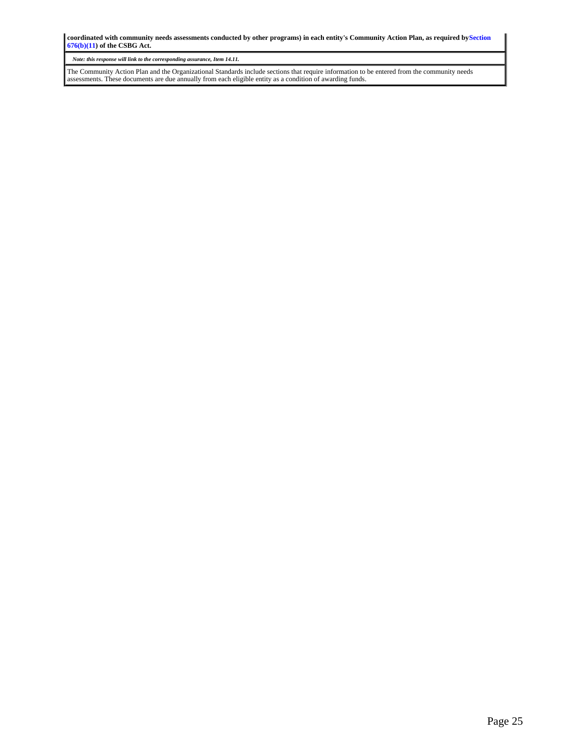**coordinated with community needs assessments conducted by other programs) in each entity's Community Action Plan, as required bySection 676(b)(11) of the CSBG Act.**

*Note: this response will link to the corresponding assurance, Item 14.11.*

The Community Action Plan and the Organizational Standards include sections that require information to be entered from the community needs assessments. These documents are due annually from each eligible entity as a condition of awarding funds.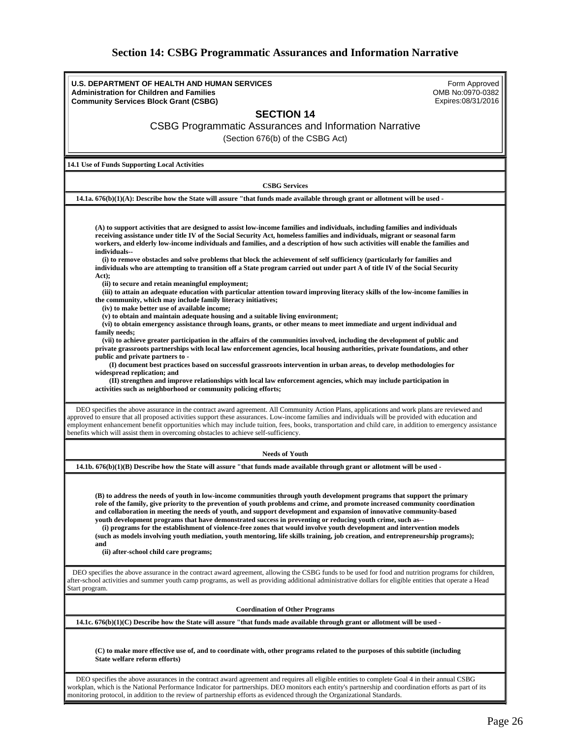### **Section 14: CSBG Programmatic Assurances and Information Narrative**

<span id="page-25-0"></span>**U.S. DEPARTMENT OF HEALTH AND HUMAN SERVICES Administration for Children and Families Community Services Block Grant (CSBG)** Form Approved OMB No:0970-0382 Expires:08/31/2016 **SECTION 14** CSBG Programmatic Assurances and Information Narrative (Section 676(b) of the CSBG Act) **14.1 Use of Funds Supporting Local Activities CSBG Services 14.1a. 676(b)(1)(A): Describe how the State will assure "that funds made available through grant or allotment will be used - (A) to support activities that are designed to assist low-income families and individuals, including families and individuals receiving assistance under title IV of the Social Security Act, homeless families and individuals, migrant or seasonal farm workers, and elderly low-income individuals and families, and a description of how such activities will enable the families and individuals-- (i) to remove obstacles and solve problems that block the achievement of self sufficiency (particularly for families and individuals who are attempting to transition off a State program carried out under part A of title IV of the Social Security Act); (ii) to secure and retain meaningful employment; (iii) to attain an adequate education with particular attention toward improving literacy skills of the low-income families in the community, which may include family literacy initiatives; (iv) to make better use of available income; (v) to obtain and maintain adequate housing and a suitable living environment; (vi) to obtain emergency assistance through loans, grants, or other means to meet immediate and urgent individual and family needs; (vii) to achieve greater participation in the affairs of the communities involved, including the development of public and private grassroots partnerships with local law enforcement agencies, local housing authorities, private foundations, and other public and private partners to - (I) document best practices based on successful grassroots intervention in urban areas, to develop methodologies for widespread replication; and (II) strengthen and improve relationships with local law enforcement agencies, which may include participation in activities such as neighborhood or community policing efforts;** DEO specifies the above assurance in the contract award agreement. All Community Action Plans, applications and work plans are reviewed and approved to ensure that all proposed activities support these assurances. Low-income families and individuals will be provided with education and employment enhancement benefit opportunities which may include tuition, fees, books, transportation and child care, in addition to emergency assistance benefits which will assist them in overcoming obstacles to achieve self-sufficiency. **Needs of Youth 14.1b. 676(b)(1)(B) Describe how the State will assure "that funds made available through grant or allotment will be used - (B) to address the needs of youth in low-income communities through youth development programs that support the primary role of the family, give priority to the prevention of youth problems and crime, and promote increased community coordination and collaboration in meeting the needs of youth, and support development and expansion of innovative community-based youth development programs that have demonstrated success in preventing or reducing youth crime, such as-- (i) programs for the establishment of violence-free zones that would involve youth development and intervention models (such as models involving youth mediation, youth mentoring, life skills training, job creation, and entrepreneurship programs); and (ii) after-school child care programs;** DEO specifies the above assurance in the contract award agreement, allowing the CSBG funds to be used for food and nutrition programs for children, after-school activities and summer youth camp programs, as well as providing additional administrative dollars for eligible entities that operate a Head Start program. **Coordination of Other Programs 14.1c. 676(b)(1)(C) Describe how the State will assure "that funds made available through grant or allotment will be used - (C) to make more effective use of, and to coordinate with, other programs related to the purposes of this subtitle (including State welfare reform efforts)** DEO specifies the above assurances in the contract award agreement and requires all eligible entities to complete Goal 4 in their annual CSBG

workplan, which is the National Performance Indicator for partnerships. DEO monitors each entity's partnership and coordination efforts as part of its

monitoring protocol, in addition to the review of partnership efforts as evidenced through the Organizational Standards.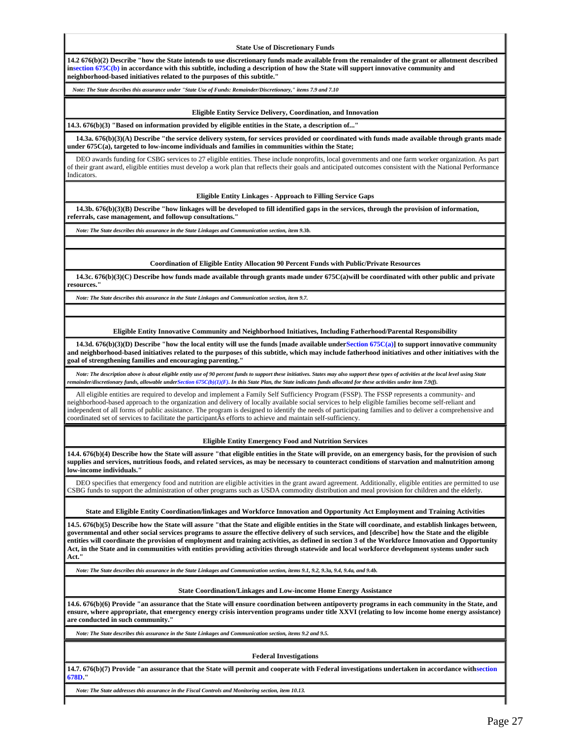**State Use of Discretionary Funds**

**14.2 676(b)(2) Describe "how the State intends to use discretionary funds made available from the remainder of the grant or allotment described insection 675C(b) in accordance with this subtitle, including a description of how the State will support innovative community and neighborhood-based initiatives related to the purposes of this subtitle."**

*Note: The State describes this assurance under "State Use of Funds: Remainder/Discretionary," items 7.9 and 7.10*

#### **Eligible Entity Service Delivery, Coordination, and Innovation**

**14.3. 676(b)(3) "Based on information provided by eligible entities in the State, a description of..."**

 **14.3a. 676(b)(3)(A) Describe "the service delivery system, for services provided or coordinated with funds made available through grants made under 675C(a), targeted to low-income individuals and families in communities within the State;**

 DEO awards funding for CSBG services to 27 eligible entities. These include nonprofits, local governments and one farm worker organization. As part of their grant award, eligible entities must develop a work plan that reflects their goals and anticipated outcomes consistent with the National Performance Indicators.

**Eligible Entity Linkages - Approach to Filling Service Gaps**

 **14.3b. 676(b)(3)(B) Describe "how linkages will be developed to fill identified gaps in the services, through the provision of information, referrals, case management, and followup consultations."**

*Note: The State describes this assurance in the State Linkages and Communication section, item 9.3b.*

**Coordination of Eligible Entity Allocation 90 Percent Funds with Public/Private Resources**

 **14.3c. 676(b)(3)(C) Describe how funds made available through grants made under 675C(a)will be coordinated with other public and private resources."**

*Note: The State describes this assurance in the State Linkages and Communication section, item 9.7.*

**Eligible Entity Innovative Community and Neighborhood Initiatives, Including Fatherhood/Parental Responsibility**

 **14.3d. 676(b)(3)(D) Describe "how the local entity will use the funds [made available underSection 675C(a)] to support innovative community and neighborhood-based initiatives related to the purposes of this subtitle, which may include fatherhood initiatives and other initiatives with the goal of strengthening families and encouraging parenting."**

 *Note: The description above is about eligible entity use of 90 percent funds to support these initiatives. States may also support these types of activities at the local level using State remainder/discretionary funds, allowable underSection 675C(b)(1)(F). In this State Plan, the State indicates funds allocated for these activities under item 7.9(f).*

 All eligible entities are required to develop and implement a Family Self Sufficiency Program (FSSP). The FSSP represents a community- and neighborhood-based approach to the organization and delivery of locally available social services to help eligible families become self-reliant and independent of all forms of public assistance. The program is designed to identify the needs of participating families and to deliver a comprehensive and coordinated set of services to facilitate the participantÂs efforts to achieve and maintain self-sufficiency.

#### **Eligible Entity Emergency Food and Nutrition Services**

**14.4. 676(b)(4) Describe how the State will assure "that eligible entities in the State will provide, on an emergency basis, for the provision of such supplies and services, nutritious foods, and related services, as may be necessary to counteract conditions of starvation and malnutrition among low-income individuals."**

 DEO specifies that emergency food and nutrition are eligible activities in the grant award agreement. Additionally, eligible entities are permitted to use CSBG funds to support the administration of other programs such as USDA commodity distribution and meal provision for children and the elderly.

**State and Eligible Entity Coordination/linkages and Workforce Innovation and Opportunity Act Employment and Training Activities**

**14.5. 676(b)(5) Describe how the State will assure "that the State and eligible entities in the State will coordinate, and establish linkages between, governmental and other social services programs to assure the effective delivery of such services, and [describe] how the State and the eligible entities will coordinate the provision of employment and training activities, as defined in section 3 of the Workforce Innovation and Opportunity Act, in the State and in communities with entities providing activities through statewide and local workforce development systems under such Act."**

*Note: The State describes this assurance in the State Linkages and Communication section, items 9.1, 9.2, 9.3a, 9.4, 9.4a, and 9.4b.*

#### **State Coordination/Linkages and Low-income Home Energy Assistance**

**14.6. 676(b)(6) Provide "an assurance that the State will ensure coordination between antipoverty programs in each community in the State, and ensure, where appropriate, that emergency energy crisis intervention programs under title XXVI (relating to low income home energy assistance) are conducted in such community."**

*Note: The State describes this assurance in the State Linkages and Communication section, items 9.2 and 9.5.*

#### **Federal Investigations**

**14.7. 676(b)(7) Provide "an assurance that the State will permit and cooperate with Federal investigations undertaken in accordance withsection 678D."**

*Note: The State addresses this assurance in the Fiscal Controls and Monitoring section, item 10.13.*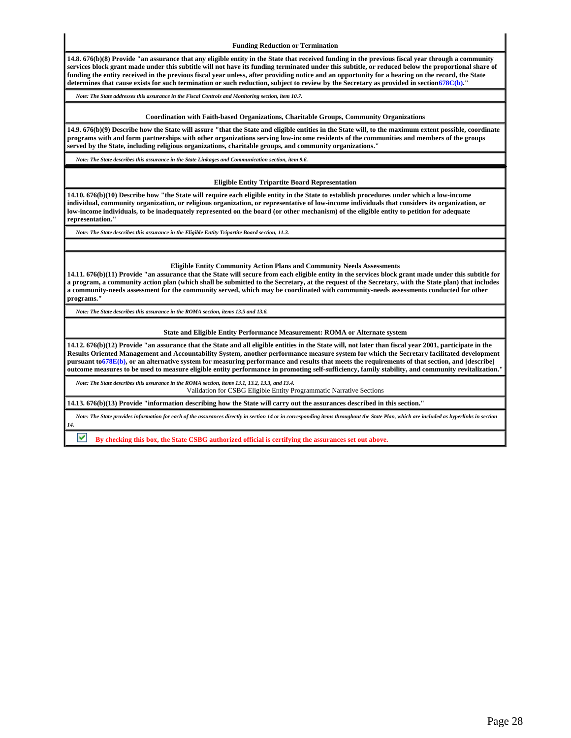**Funding Reduction or Termination**

**14.8. 676(b)(8) Provide "an assurance that any eligible entity in the State that received funding in the previous fiscal year through a community services block grant made under this subtitle will not have its funding terminated under this subtitle, or reduced below the proportional share of funding the entity received in the previous fiscal year unless, after providing notice and an opportunity for a hearing on the record, the State determines that cause exists for such termination or such reduction, subject to review by the Secretary as provided in section678C(b)."**

*Note: The State addresses this assurance in the Fiscal Controls and Monitoring section, item 10.7.*

#### **Coordination with Faith-based Organizations, Charitable Groups, Community Organizations**

**14.9. 676(b)(9) Describe how the State will assure "that the State and eligible entities in the State will, to the maximum extent possible, coordinate programs with and form partnerships with other organizations serving low-income residents of the communities and members of the groups served by the State, including religious organizations, charitable groups, and community organizations."**

*Note: The State describes this assurance in the State Linkages and Communication section, item 9.6.*

#### **Eligible Entity Tripartite Board Representation**

**14.10. 676(b)(10) Describe how "the State will require each eligible entity in the State to establish procedures under which a low-income individual, community organization, or religious organization, or representative of low-income individuals that considers its organization, or low-income individuals, to be inadequately represented on the board (or other mechanism) of the eligible entity to petition for adequate representation."**

*Note: The State describes this assurance in the Eligible Entity Tripartite Board section, 11.3.*

**Eligible Entity Community Action Plans and Community Needs Assessments**

**14.11. 676(b)(11) Provide "an assurance that the State will secure from each eligible entity in the services block grant made under this subtitle for a program, a community action plan (which shall be submitted to the Secretary, at the request of the Secretary, with the State plan) that includes a community-needs assessment for the community served, which may be coordinated with community-needs assessments conducted for other programs."**

*Note: The State describes this assurance in the ROMA section, items 13.5 and 13.6.*

#### **State and Eligible Entity Performance Measurement: ROMA or Alternate system**

**14.12. 676(b)(12) Provide "an assurance that the State and all eligible entities in the State will, not later than fiscal year 2001, participate in the Results Oriented Management and Accountability System, another performance measure system for which the Secretary facilitated development pursuant to678E(b), or an alternative system for measuring performance and results that meets the requirements of that section, and [describe] outcome measures to be used to measure eligible entity performance in promoting self-sufficiency, family stability, and community revitalization."**

*Note: The State describes this assurance in the ROMA section, items 13.1, 13.2, 13.3, and 13.4.*

Validation for CSBG Eligible Entity Programmatic Narrative Sections

**14.13. 676(b)(13) Provide "information describing how the State will carry out the assurances described in this section."**

 *Note: The State provides information for each of the assurances directly in section 14 or in corresponding items throughout the State Plan, which are included as hyperlinks in section 14.*

**By checking this box, the State CSBG authorized official is certifying the assurances set out above.**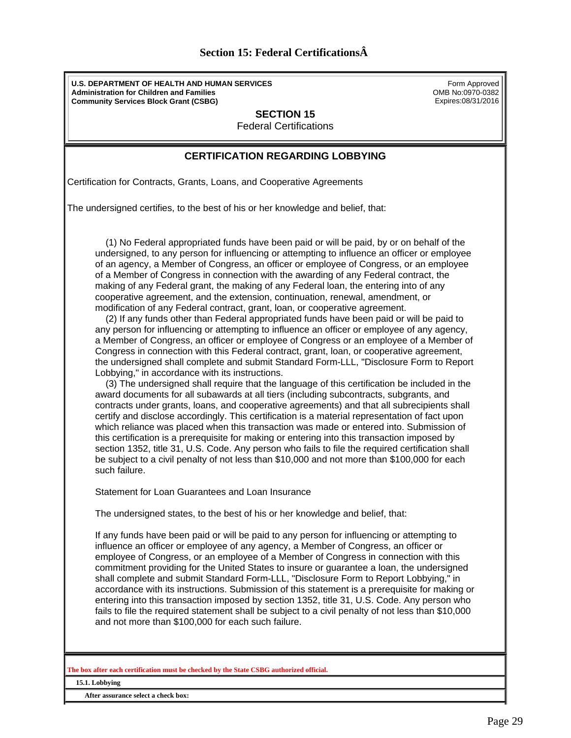<span id="page-28-0"></span>**U.S. DEPARTMENT OF HEALTH AND HUMAN SERVICES Administration for Children and Families Community Services Block Grant (CSBG)**

Form Approved OMB No:0970-0382 Expires:08/31/2016

**SECTION 15**

Federal Certifications

### **CERTIFICATION REGARDING LOBBYING**

Certification for Contracts, Grants, Loans, and Cooperative Agreements

The undersigned certifies, to the best of his or her knowledge and belief, that:

 (1) No Federal appropriated funds have been paid or will be paid, by or on behalf of the undersigned, to any person for influencing or attempting to influence an officer or employee of an agency, a Member of Congress, an officer or employee of Congress, or an employee of a Member of Congress in connection with the awarding of any Federal contract, the making of any Federal grant, the making of any Federal loan, the entering into of any cooperative agreement, and the extension, continuation, renewal, amendment, or modification of any Federal contract, grant, loan, or cooperative agreement.

 (2) If any funds other than Federal appropriated funds have been paid or will be paid to any person for influencing or attempting to influence an officer or employee of any agency, a Member of Congress, an officer or employee of Congress or an employee of a Member of Congress in connection with this Federal contract, grant, loan, or cooperative agreement, the undersigned shall complete and submit Standard Form-LLL, "Disclosure Form to Report Lobbying," in accordance with its instructions.

 (3) The undersigned shall require that the language of this certification be included in the award documents for all subawards at all tiers (including subcontracts, subgrants, and contracts under grants, loans, and cooperative agreements) and that all subrecipients shall certify and disclose accordingly. This certification is a material representation of fact upon which reliance was placed when this transaction was made or entered into. Submission of this certification is a prerequisite for making or entering into this transaction imposed by section 1352, title 31, U.S. Code. Any person who fails to file the required certification shall be subject to a civil penalty of not less than \$10,000 and not more than \$100,000 for each such failure.

Statement for Loan Guarantees and Loan Insurance

The undersigned states, to the best of his or her knowledge and belief, that:

If any funds have been paid or will be paid to any person for influencing or attempting to influence an officer or employee of any agency, a Member of Congress, an officer or employee of Congress, or an employee of a Member of Congress in connection with this commitment providing for the United States to insure or guarantee a loan, the undersigned shall complete and submit Standard Form-LLL, "Disclosure Form to Report Lobbying," in accordance with its instructions. Submission of this statement is a prerequisite for making or entering into this transaction imposed by section 1352, title 31, U.S. Code. Any person who fails to file the required statement shall be subject to a civil penalty of not less than \$10,000 and not more than \$100,000 for each such failure.

**The box after each certification must be checked by the State CSBG authorized official.**

**15.1. Lobbying** 

**After assurance select a check box:**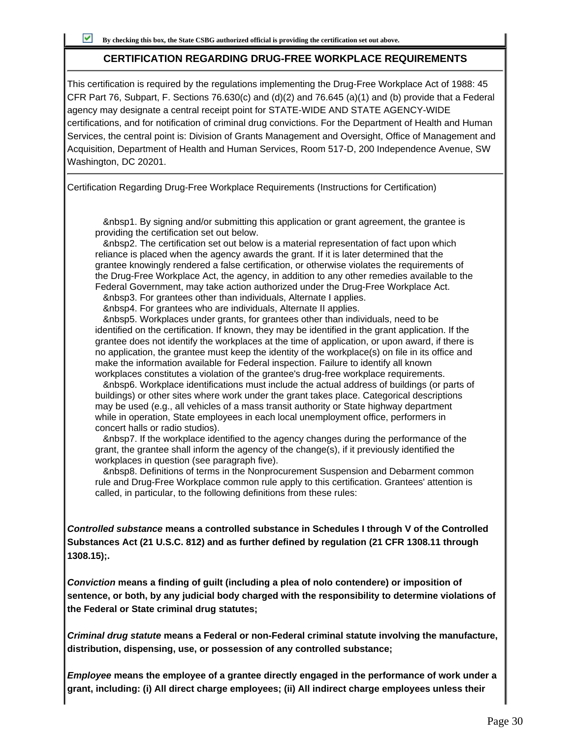### **CERTIFICATION REGARDING DRUG-FREE WORKPLACE REQUIREMENTS**

This certification is required by the regulations implementing the Drug-Free Workplace Act of 1988: 45 CFR Part 76, Subpart, F. Sections 76.630(c) and (d)(2) and 76.645 (a)(1) and (b) provide that a Federal agency may designate a central receipt point for STATE-WIDE AND STATE AGENCY-WIDE certifications, and for notification of criminal drug convictions. For the Department of Health and Human Services, the central point is: Division of Grants Management and Oversight, Office of Management and Acquisition, Department of Health and Human Services, Room 517-D, 200 Independence Avenue, SW Washington, DC 20201.

Certification Regarding Drug-Free Workplace Requirements (Instructions for Certification)

 &nbsp1. By signing and/or submitting this application or grant agreement, the grantee is providing the certification set out below.

 &nbsp2. The certification set out below is a material representation of fact upon which reliance is placed when the agency awards the grant. If it is later determined that the grantee knowingly rendered a false certification, or otherwise violates the requirements of the Drug-Free Workplace Act, the agency, in addition to any other remedies available to the Federal Government, may take action authorized under the Drug-Free Workplace Act.

&nbsp3. For grantees other than individuals, Alternate I applies.

&nbsp4. For grantees who are individuals, Alternate II applies.

 &nbsp5. Workplaces under grants, for grantees other than individuals, need to be identified on the certification. If known, they may be identified in the grant application. If the grantee does not identify the workplaces at the time of application, or upon award, if there is no application, the grantee must keep the identity of the workplace(s) on file in its office and make the information available for Federal inspection. Failure to identify all known workplaces constitutes a violation of the grantee's drug-free workplace requirements.

 &nbsp6. Workplace identifications must include the actual address of buildings (or parts of buildings) or other sites where work under the grant takes place. Categorical descriptions may be used (e.g., all vehicles of a mass transit authority or State highway department while in operation, State employees in each local unemployment office, performers in concert halls or radio studios).

 &nbsp7. If the workplace identified to the agency changes during the performance of the grant, the grantee shall inform the agency of the change(s), if it previously identified the workplaces in question (see paragraph five).

 &nbsp8. Definitions of terms in the Nonprocurement Suspension and Debarment common rule and Drug-Free Workplace common rule apply to this certification. Grantees' attention is called, in particular, to the following definitions from these rules:

**Controlled substance means a controlled substance in Schedules I through V of the Controlled Substances Act (21 U.S.C. 812) and as further defined by regulation (21 CFR 1308.11 through 1308.15);.**

**Conviction means a finding of guilt (including a plea of nolo contendere) or imposition of sentence, or both, by any judicial body charged with the responsibility to determine violations of the Federal or State criminal drug statutes;**

**Criminal drug statute means a Federal or non-Federal criminal statute involving the manufacture, distribution, dispensing, use, or possession of any controlled substance;**

**Employee means the employee of a grantee directly engaged in the performance of work under a grant, including: (i) All direct charge employees; (ii) All indirect charge employees unless their**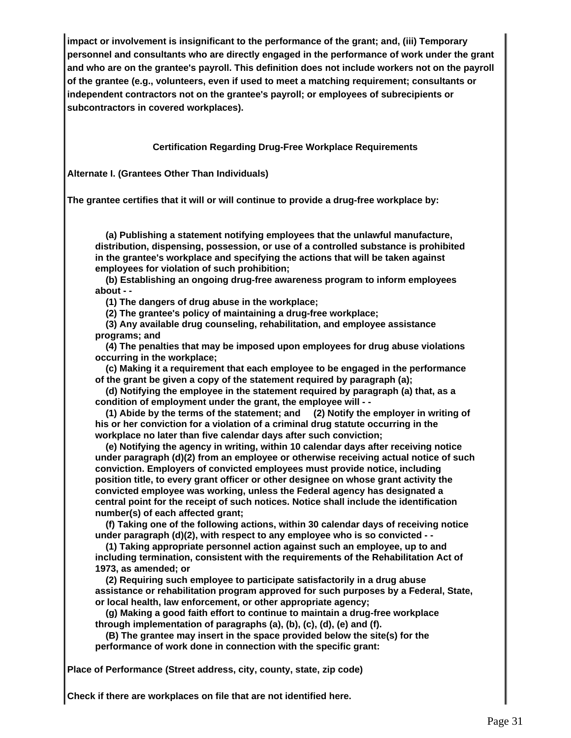**impact or involvement is insignificant to the performance of the grant; and, (iii) Temporary personnel and consultants who are directly engaged in the performance of work under the grant and who are on the grantee's payroll. This definition does not include workers not on the payroll of the grantee (e.g., volunteers, even if used to meet a matching requirement; consultants or independent contractors not on the grantee's payroll; or employees of subrecipients or subcontractors in covered workplaces).**

### **Certification Regarding Drug-Free Workplace Requirements**

**Alternate I. (Grantees Other Than Individuals)**

**The grantee certifies that it will or will continue to provide a drug-free workplace by:**

 **(a) Publishing a statement notifying employees that the unlawful manufacture, distribution, dispensing, possession, or use of a controlled substance is prohibited in the grantee's workplace and specifying the actions that will be taken against employees for violation of such prohibition;**

 **(b) Establishing an ongoing drug-free awareness program to inform employees about - -**

 **(1) The dangers of drug abuse in the workplace;**

 **(2) The grantee's policy of maintaining a drug-free workplace;**

 **(3) Any available drug counseling, rehabilitation, and employee assistance programs; and**

 **(4) The penalties that may be imposed upon employees for drug abuse violations occurring in the workplace;**

 **(c) Making it a requirement that each employee to be engaged in the performance of the grant be given a copy of the statement required by paragraph (a);**

 **(d) Notifying the employee in the statement required by paragraph (a) that, as a condition of employment under the grant, the employee will - -**

 **(1) Abide by the terms of the statement; and (2) Notify the employer in writing of his or her conviction for a violation of a criminal drug statute occurring in the workplace no later than five calendar days after such conviction;**

 **(e) Notifying the agency in writing, within 10 calendar days after receiving notice under paragraph (d)(2) from an employee or otherwise receiving actual notice of such conviction. Employers of convicted employees must provide notice, including position title, to every grant officer or other designee on whose grant activity the convicted employee was working, unless the Federal agency has designated a central point for the receipt of such notices. Notice shall include the identification number(s) of each affected grant;**

 **(f) Taking one of the following actions, within 30 calendar days of receiving notice under paragraph (d)(2), with respect to any employee who is so convicted - -**

 **(1) Taking appropriate personnel action against such an employee, up to and including termination, consistent with the requirements of the Rehabilitation Act of 1973, as amended; or**

 **(2) Requiring such employee to participate satisfactorily in a drug abuse assistance or rehabilitation program approved for such purposes by a Federal, State, or local health, law enforcement, or other appropriate agency;**

 **(g) Making a good faith effort to continue to maintain a drug-free workplace through implementation of paragraphs (a), (b), (c), (d), (e) and (f).**

 **(B) The grantee may insert in the space provided below the site(s) for the performance of work done in connection with the specific grant:**

**Place of Performance (Street address, city, county, state, zip code)**

**Check if there are workplaces on file that are not identified here.**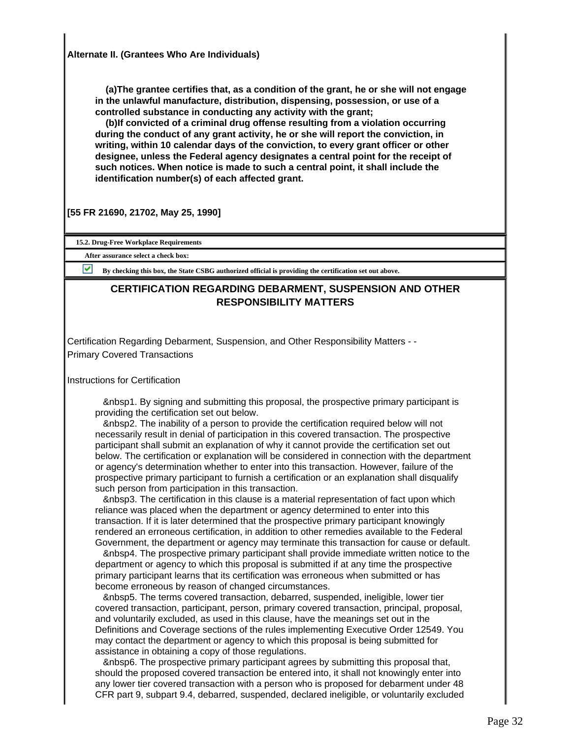**(a)The grantee certifies that, as a condition of the grant, he or she will not engage in the unlawful manufacture, distribution, dispensing, possession, or use of a controlled substance in conducting any activity with the grant;**

 **(b)If convicted of a criminal drug offense resulting from a violation occurring during the conduct of any grant activity, he or she will report the conviction, in writing, within 10 calendar days of the conviction, to every grant officer or other designee, unless the Federal agency designates a central point for the receipt of such notices. When notice is made to such a central point, it shall include the identification number(s) of each affected grant.**

**[55 FR 21690, 21702, May 25, 1990]**

**15.2. Drug-Free Workplace Requirements**

**After assurance select a check box:**

**By checking this box, the State CSBG authorized official is providing the certification set out above.** 

### **CERTIFICATION REGARDING DEBARMENT, SUSPENSION AND OTHER RESPONSIBILITY MATTERS**

Certification Regarding Debarment, Suspension, and Other Responsibility Matters - - Primary Covered Transactions

Instructions for Certification

 &nbsp1. By signing and submitting this proposal, the prospective primary participant is providing the certification set out below.

 &nbsp2. The inability of a person to provide the certification required below will not necessarily result in denial of participation in this covered transaction. The prospective participant shall submit an explanation of why it cannot provide the certification set out below. The certification or explanation will be considered in connection with the department or agency's determination whether to enter into this transaction. However, failure of the prospective primary participant to furnish a certification or an explanation shall disqualify such person from participation in this transaction.

 &nbsp3. The certification in this clause is a material representation of fact upon which reliance was placed when the department or agency determined to enter into this transaction. If it is later determined that the prospective primary participant knowingly rendered an erroneous certification, in addition to other remedies available to the Federal Government, the department or agency may terminate this transaction for cause or default.

 &nbsp4. The prospective primary participant shall provide immediate written notice to the department or agency to which this proposal is submitted if at any time the prospective primary participant learns that its certification was erroneous when submitted or has become erroneous by reason of changed circumstances.

 &nbsp5. The terms covered transaction, debarred, suspended, ineligible, lower tier covered transaction, participant, person, primary covered transaction, principal, proposal, and voluntarily excluded, as used in this clause, have the meanings set out in the Definitions and Coverage sections of the rules implementing Executive Order 12549. You may contact the department or agency to which this proposal is being submitted for assistance in obtaining a copy of those regulations.

 &nbsp6. The prospective primary participant agrees by submitting this proposal that, should the proposed covered transaction be entered into, it shall not knowingly enter into any lower tier covered transaction with a person who is proposed for debarment under 48 CFR part 9, subpart 9.4, debarred, suspended, declared ineligible, or voluntarily excluded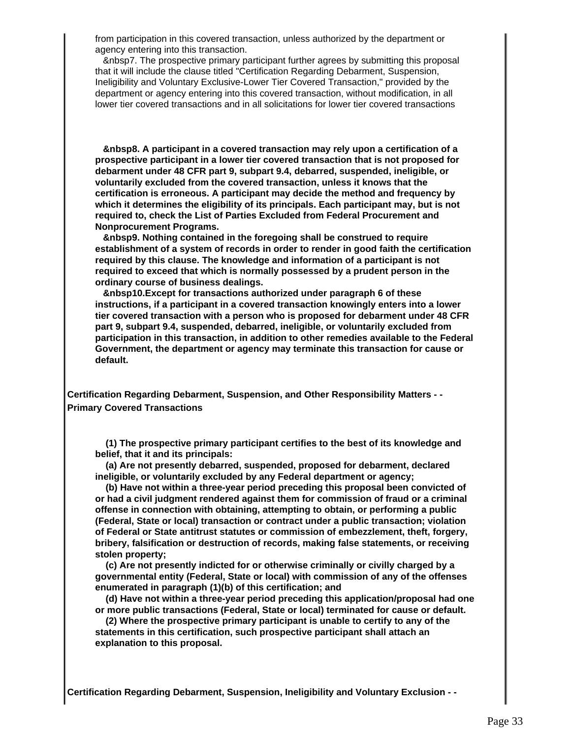from participation in this covered transaction, unless authorized by the department or agency entering into this transaction.

 &nbsp7. The prospective primary participant further agrees by submitting this proposal that it will include the clause titled "Certification Regarding Debarment, Suspension, Ineligibility and Voluntary Exclusive-Lower Tier Covered Transaction," provided by the department or agency entering into this covered transaction, without modification, in all lower tier covered transactions and in all solicitations for lower tier covered transactions

 **&nbsp8. A participant in a covered transaction may rely upon a certification of a prospective participant in a lower tier covered transaction that is not proposed for debarment under 48 CFR part 9, subpart 9.4, debarred, suspended, ineligible, or voluntarily excluded from the covered transaction, unless it knows that the certification is erroneous. A participant may decide the method and frequency by which it determines the eligibility of its principals. Each participant may, but is not required to, check the List of Parties Excluded from Federal Procurement and Nonprocurement Programs.**

 **&nbsp9. Nothing contained in the foregoing shall be construed to require establishment of a system of records in order to render in good faith the certification required by this clause. The knowledge and information of a participant is not required to exceed that which is normally possessed by a prudent person in the ordinary course of business dealings.**

 **&nbsp10.Except for transactions authorized under paragraph 6 of these instructions, if a participant in a covered transaction knowingly enters into a lower tier covered transaction with a person who is proposed for debarment under 48 CFR part 9, subpart 9.4, suspended, debarred, ineligible, or voluntarily excluded from participation in this transaction, in addition to other remedies available to the Federal Government, the department or agency may terminate this transaction for cause or default.**

**Certification Regarding Debarment, Suspension, and Other Responsibility Matters - - Primary Covered Transactions**

 **(1) The prospective primary participant certifies to the best of its knowledge and belief, that it and its principals:**

 **(a) Are not presently debarred, suspended, proposed for debarment, declared ineligible, or voluntarily excluded by any Federal department or agency;**

 **(b) Have not within a three-year period preceding this proposal been convicted of or had a civil judgment rendered against them for commission of fraud or a criminal offense in connection with obtaining, attempting to obtain, or performing a public (Federal, State or local) transaction or contract under a public transaction; violation of Federal or State antitrust statutes or commission of embezzlement, theft, forgery, bribery, falsification or destruction of records, making false statements, or receiving stolen property;**

 **(c) Are not presently indicted for or otherwise criminally or civilly charged by a governmental entity (Federal, State or local) with commission of any of the offenses enumerated in paragraph (1)(b) of this certification; and**

 **(d) Have not within a three-year period preceding this application/proposal had one or more public transactions (Federal, State or local) terminated for cause or default.**

 **(2) Where the prospective primary participant is unable to certify to any of the statements in this certification, such prospective participant shall attach an explanation to this proposal.**

**Certification Regarding Debarment, Suspension, Ineligibility and Voluntary Exclusion - -**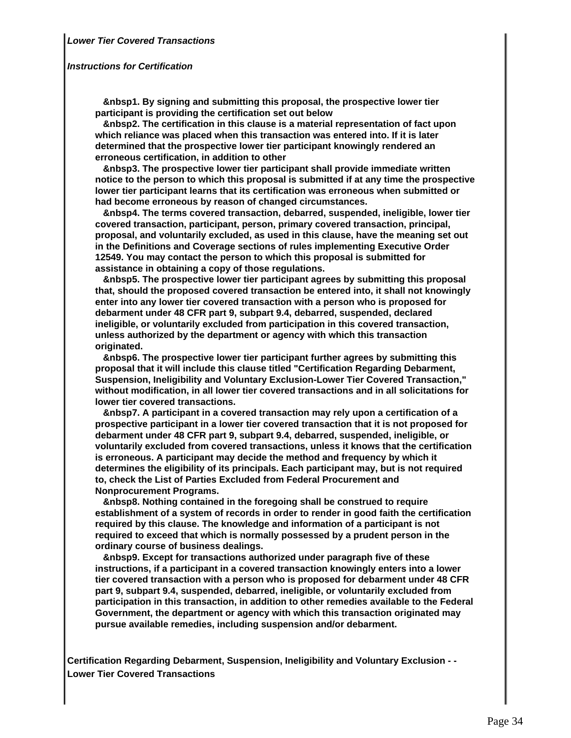### **Instructions for Certification**

 **&nbsp1. By signing and submitting this proposal, the prospective lower tier participant is providing the certification set out below**

 **&nbsp2. The certification in this clause is a material representation of fact upon which reliance was placed when this transaction was entered into. If it is later determined that the prospective lower tier participant knowingly rendered an erroneous certification, in addition to other**

 **&nbsp3. The prospective lower tier participant shall provide immediate written notice to the person to which this proposal is submitted if at any time the prospective lower tier participant learns that its certification was erroneous when submitted or had become erroneous by reason of changed circumstances.**

 **&nbsp4. The terms covered transaction, debarred, suspended, ineligible, lower tier covered transaction, participant, person, primary covered transaction, principal, proposal, and voluntarily excluded, as used in this clause, have the meaning set out in the Definitions and Coverage sections of rules implementing Executive Order 12549. You may contact the person to which this proposal is submitted for assistance in obtaining a copy of those regulations.**

 **&nbsp5. The prospective lower tier participant agrees by submitting this proposal that, should the proposed covered transaction be entered into, it shall not knowingly enter into any lower tier covered transaction with a person who is proposed for debarment under 48 CFR part 9, subpart 9.4, debarred, suspended, declared ineligible, or voluntarily excluded from participation in this covered transaction, unless authorized by the department or agency with which this transaction originated.**

 **&nbsp6. The prospective lower tier participant further agrees by submitting this proposal that it will include this clause titled "Certification Regarding Debarment, Suspension, Ineligibility and Voluntary Exclusion-Lower Tier Covered Transaction," without modification, in all lower tier covered transactions and in all solicitations for lower tier covered transactions.**

 **&nbsp7. A participant in a covered transaction may rely upon a certification of a prospective participant in a lower tier covered transaction that it is not proposed for debarment under 48 CFR part 9, subpart 9.4, debarred, suspended, ineligible, or voluntarily excluded from covered transactions, unless it knows that the certification is erroneous. A participant may decide the method and frequency by which it determines the eligibility of its principals. Each participant may, but is not required to, check the List of Parties Excluded from Federal Procurement and Nonprocurement Programs.**

 **&nbsp8. Nothing contained in the foregoing shall be construed to require establishment of a system of records in order to render in good faith the certification required by this clause. The knowledge and information of a participant is not required to exceed that which is normally possessed by a prudent person in the ordinary course of business dealings.**

 **&nbsp9. Except for transactions authorized under paragraph five of these instructions, if a participant in a covered transaction knowingly enters into a lower tier covered transaction with a person who is proposed for debarment under 48 CFR part 9, subpart 9.4, suspended, debarred, ineligible, or voluntarily excluded from participation in this transaction, in addition to other remedies available to the Federal Government, the department or agency with which this transaction originated may pursue available remedies, including suspension and/or debarment.**

**Certification Regarding Debarment, Suspension, Ineligibility and Voluntary Exclusion - - Lower Tier Covered Transactions**